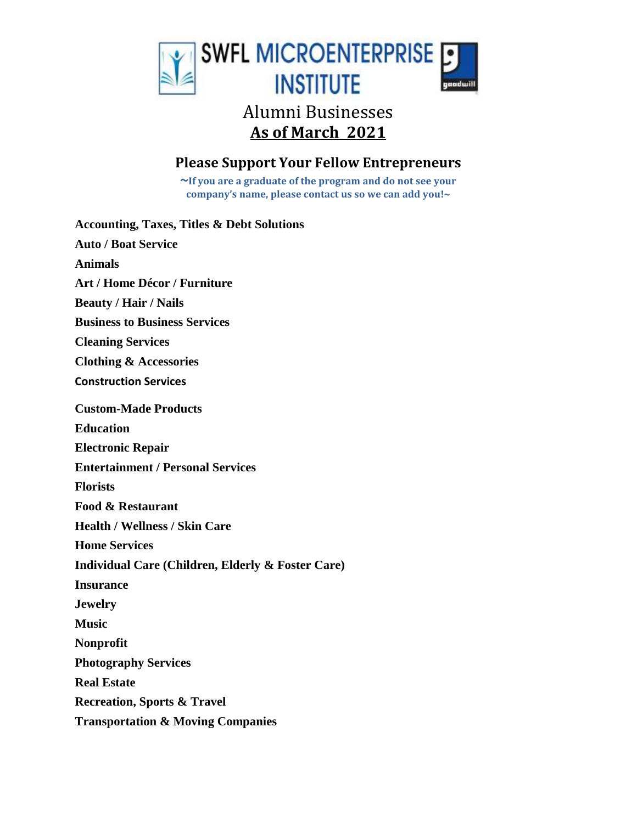

# **As of March 2021**

## **Please Support Your Fellow Entrepreneurs**

**~If you are a graduate of the program and do not see your company's name, please contact us so we can add you!~**

| <b>Accounting, Taxes, Titles &amp; Debt Solutions</b> |
|-------------------------------------------------------|
| <b>Auto / Boat Service</b>                            |
| <b>Animals</b>                                        |
| <b>Art / Home Décor / Furniture</b>                   |
| <b>Beauty / Hair / Nails</b>                          |
| <b>Business to Business Services</b>                  |
| <b>Cleaning Services</b>                              |
| <b>Clothing &amp; Accessories</b>                     |
| <b>Construction Services</b>                          |
| <b>Custom-Made Products</b>                           |
| <b>Education</b>                                      |
| <b>Electronic Repair</b>                              |
| <b>Entertainment / Personal Services</b>              |
| <b>Florists</b>                                       |
| Food & Restaurant                                     |
| <b>Health / Wellness / Skin Care</b>                  |
| <b>Home Services</b>                                  |
| Individual Care (Children, Elderly & Foster Care)     |
| <b>Insurance</b>                                      |
| <b>Jewelry</b>                                        |
| <b>Music</b>                                          |
| Nonprofit                                             |
| <b>Photography Services</b>                           |
| <b>Real Estate</b>                                    |
| <b>Recreation, Sports &amp; Travel</b>                |
| <b>Transportation &amp; Moving Companies</b>          |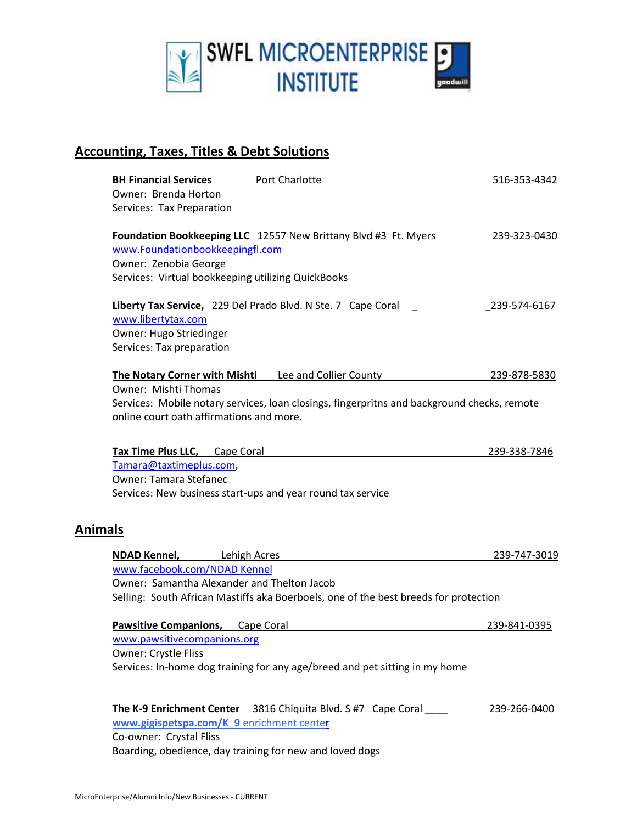

## **Accounting, Taxes, Titles & Debt Solutions**

|                | <b>BH Financial Services</b>                             | Port Charlotte                                                                              | 516-353-4342 |
|----------------|----------------------------------------------------------|---------------------------------------------------------------------------------------------|--------------|
|                | Owner: Brenda Horton                                     |                                                                                             |              |
|                | Services: Tax Preparation                                |                                                                                             |              |
|                |                                                          | Foundation Bookkeeping LLC 12557 New Brittany Blvd #3 Ft. Myers                             | 239-323-0430 |
|                | www.Foundationbookkeepingfl.com                          |                                                                                             |              |
|                | Owner: Zenobia George                                    |                                                                                             |              |
|                | Services: Virtual bookkeeping utilizing QuickBooks       |                                                                                             |              |
|                |                                                          | Liberty Tax Service, 229 Del Prado Blvd. N Ste. 7 Cape Coral                                | 239-574-6167 |
|                | www.libertytax.com                                       |                                                                                             |              |
|                | Owner: Hugo Striedinger                                  |                                                                                             |              |
|                | Services: Tax preparation                                |                                                                                             |              |
|                | The Notary Corner with Mishti                            | Lee and Collier County                                                                      | 239-878-5830 |
|                | <b>Owner: Mishti Thomas</b>                              |                                                                                             |              |
|                |                                                          | Services: Mobile notary services, loan closings, fingerpritns and background checks, remote |              |
|                | online court oath affirmations and more.                 |                                                                                             |              |
|                | Tax Time Plus LLC, Cape Coral                            |                                                                                             | 239-338-7846 |
|                | Tamara@taxtimeplus.com,                                  |                                                                                             |              |
|                | <b>Owner: Tamara Stefanec</b>                            |                                                                                             |              |
|                |                                                          | Services: New business start-ups and year round tax service                                 |              |
| <b>Animals</b> |                                                          |                                                                                             |              |
|                | <b>NDAD Kennel,</b><br>Lehigh Acres                      |                                                                                             | 239-747-3019 |
|                | www.facebook.com/NDAD Kennel                             |                                                                                             |              |
|                | Owner: Samantha Alexander and Thelton Jacob              |                                                                                             |              |
|                |                                                          | Selling: South African Mastiffs aka Boerboels, one of the best breeds for protection        |              |
|                | <b>Pawsitive Companions,</b>                             | Cape Coral                                                                                  | 239-841-0395 |
|                | www.pawsitivecompanions.org                              |                                                                                             |              |
|                | <b>Owner: Crystle Fliss</b>                              |                                                                                             |              |
|                |                                                          | Services: In-home dog training for any age/breed and pet sitting in my home                 |              |
|                |                                                          |                                                                                             |              |
|                |                                                          | The K-9 Enrichment Center 3816 Chiquita Blvd. S #7 Cape Coral                               | 239-266-0400 |
|                | www.gigispetspa.com/K 9 enrichment center                |                                                                                             |              |
|                | Co-owner: Crystal Fliss                                  |                                                                                             |              |
|                | Boarding, obedience, day training for new and loved dogs |                                                                                             |              |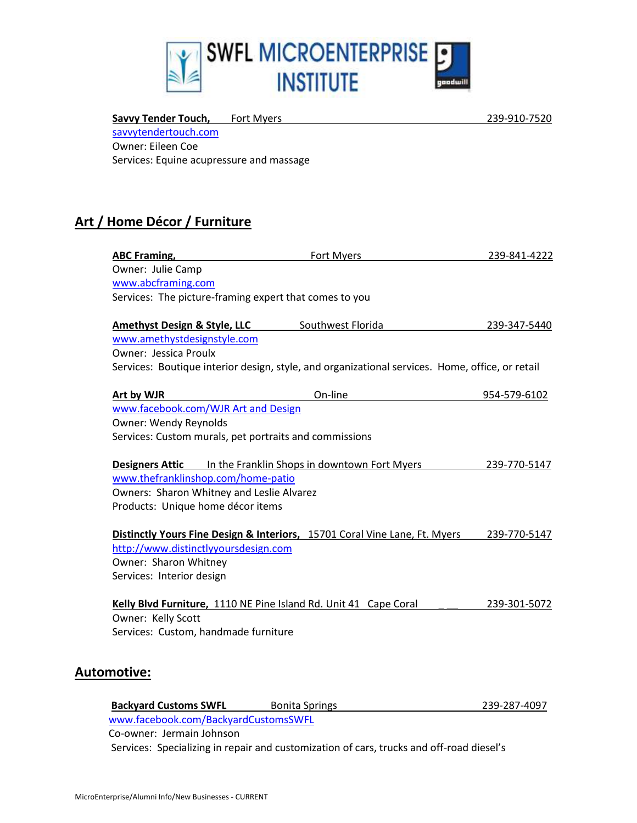

Savvy Tender Touch, Fort Myers 239-910-7520 [savvytendertouch.com](http://www.savvytendertouch.com/) Owner: Eileen Coe Services: Equine acupressure and massage

### **Art / Home Décor / Furniture**

| <b>ABC Framing,</b>                                              | <b>Fort Myers</b>                                                                               | 239-841-4222 |
|------------------------------------------------------------------|-------------------------------------------------------------------------------------------------|--------------|
| Owner: Julie Camp                                                |                                                                                                 |              |
| www.abcframing.com                                               |                                                                                                 |              |
| Services: The picture-framing expert that comes to you           |                                                                                                 |              |
| <b>Amethyst Design &amp; Style, LLC</b>                          | Southwest Florida                                                                               | 239-347-5440 |
| www.amethystdesignstyle.com                                      |                                                                                                 |              |
| Owner: Jessica Proulx                                            |                                                                                                 |              |
|                                                                  | Services: Boutique interior design, style, and organizational services. Home, office, or retail |              |
| Art by WJR                                                       | On-line                                                                                         | 954-579-6102 |
| www.facebook.com/WJR Art and Design                              |                                                                                                 |              |
| Owner: Wendy Reynolds                                            |                                                                                                 |              |
| Services: Custom murals, pet portraits and commissions           |                                                                                                 |              |
| <b>Designers Attic</b>                                           | In the Franklin Shops in downtown Fort Myers                                                    | 239-770-5147 |
| www.thefranklinshop.com/home-patio                               |                                                                                                 |              |
| Owners: Sharon Whitney and Leslie Alvarez                        |                                                                                                 |              |
| Products: Unique home décor items                                |                                                                                                 |              |
|                                                                  | Distinctly Yours Fine Design & Interiors, 15701 Coral Vine Lane, Ft. Myers                      | 239-770-5147 |
| http://www.distinctlyyoursdesign.com                             |                                                                                                 |              |
| Owner: Sharon Whitney                                            |                                                                                                 |              |
| Services: Interior design                                        |                                                                                                 |              |
| Kelly Blvd Furniture, 1110 NE Pine Island Rd. Unit 41 Cape Coral |                                                                                                 | 239-301-5072 |
| Owner: Kelly Scott                                               |                                                                                                 |              |
| Services: Custom, handmade furniture                             |                                                                                                 |              |
|                                                                  |                                                                                                 |              |
| <b>Automotive:</b>                                               |                                                                                                 |              |
|                                                                  |                                                                                                 |              |

| <b>Backyard Customs SWFL</b>         | <b>Bonita Springs</b>                                                                    | 239-287-4097 |
|--------------------------------------|------------------------------------------------------------------------------------------|--------------|
| www.facebook.com/BackyardCustomsSWFL |                                                                                          |              |
| Co-owner: Jermain Johnson            |                                                                                          |              |
|                                      | Services: Specializing in repair and customization of cars, trucks and off-road diesel's |              |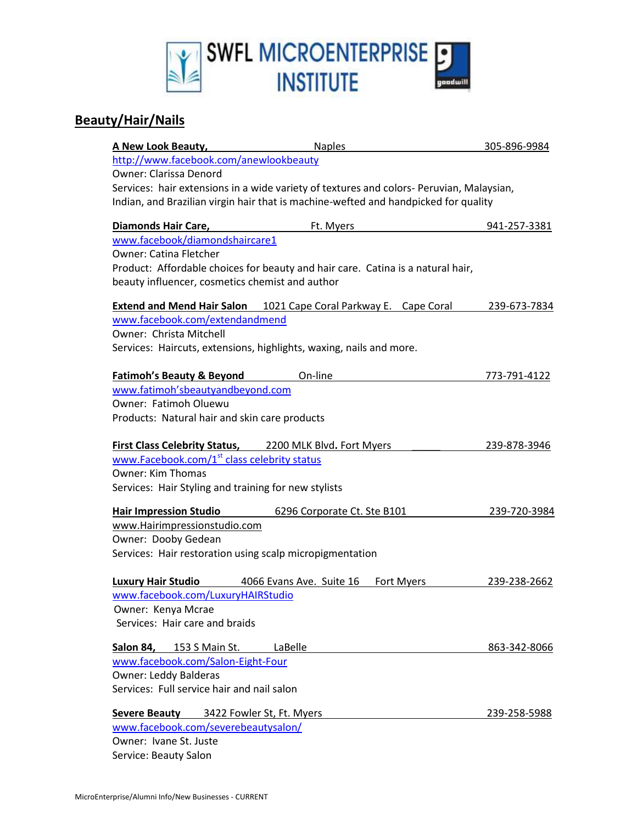

#### **Beauty/Hair/Nails**

| A New Look Beauty,                                       | <b>Naples</b>                                                                            | 305-896-9984 |
|----------------------------------------------------------|------------------------------------------------------------------------------------------|--------------|
| http://www.facebook.com/anewlookbeauty                   |                                                                                          |              |
| <b>Owner: Clarissa Denord</b>                            |                                                                                          |              |
|                                                          | Services: hair extensions in a wide variety of textures and colors- Peruvian, Malaysian, |              |
|                                                          | Indian, and Brazilian virgin hair that is machine-wefted and handpicked for quality      |              |
| Diamonds Hair Care,                                      | Ft. Myers                                                                                | 941-257-3381 |
| www.facebook/diamondshaircare1                           |                                                                                          |              |
| Owner: Catina Fletcher                                   |                                                                                          |              |
|                                                          | Product: Affordable choices for beauty and hair care. Catina is a natural hair,          |              |
| beauty influencer, cosmetics chemist and author          |                                                                                          |              |
|                                                          | <b>Extend and Mend Hair Salon</b> 1021 Cape Coral Parkway E. Cape Coral                  | 239-673-7834 |
| www.facebook.com/extendandmend                           |                                                                                          |              |
| Owner: Christa Mitchell                                  |                                                                                          |              |
|                                                          | Services: Haircuts, extensions, highlights, waxing, nails and more.                      |              |
|                                                          |                                                                                          |              |
| <b>Fatimoh's Beauty &amp; Beyond</b>                     | On-line                                                                                  | 773-791-4122 |
| www.fatimoh'sbeautyandbeyond.com                         |                                                                                          |              |
| Owner: Fatimoh Oluewu                                    |                                                                                          |              |
| Products: Natural hair and skin care products            |                                                                                          |              |
| First Class Celebrity Status, 2200 MLK Blvd. Fort Myers  |                                                                                          | 239-878-3946 |
| www.Facebook.com/1 <sup>st</sup> class celebrity status  |                                                                                          |              |
| Owner: Kim Thomas                                        |                                                                                          |              |
| Services: Hair Styling and training for new stylists     |                                                                                          |              |
| <b>Hair Impression Studio</b>                            | 6296 Corporate Ct. Ste B101                                                              | 239-720-3984 |
| www.Hairimpressionstudio.com                             |                                                                                          |              |
| Owner: Dooby Gedean                                      |                                                                                          |              |
| Services: Hair restoration using scalp micropigmentation |                                                                                          |              |
|                                                          |                                                                                          |              |
| <b>Luxury Hair Studio</b>                                | 4066 Evans Ave. Suite 16<br>Fort Myers                                                   | 239-238-2662 |
| www.facebook.com/LuxuryHAIRStudio                        |                                                                                          |              |
| Owner: Kenya Mcrae                                       |                                                                                          |              |
| Services: Hair care and braids                           |                                                                                          |              |
| Salon 84,<br>153 S Main St.                              | LaBelle                                                                                  | 863-342-8066 |
| www.facebook.com/Salon-Eight-Four                        |                                                                                          |              |
| Owner: Leddy Balderas                                    |                                                                                          |              |
| Services: Full service hair and nail salon               |                                                                                          |              |
| <b>Severe Beauty</b>                                     | 3422 Fowler St, Ft. Myers                                                                | 239-258-5988 |
| www.facebook.com/severebeautysalon/                      |                                                                                          |              |
| Owner: Ivane St. Juste                                   |                                                                                          |              |
| Service: Beauty Salon                                    |                                                                                          |              |
|                                                          |                                                                                          |              |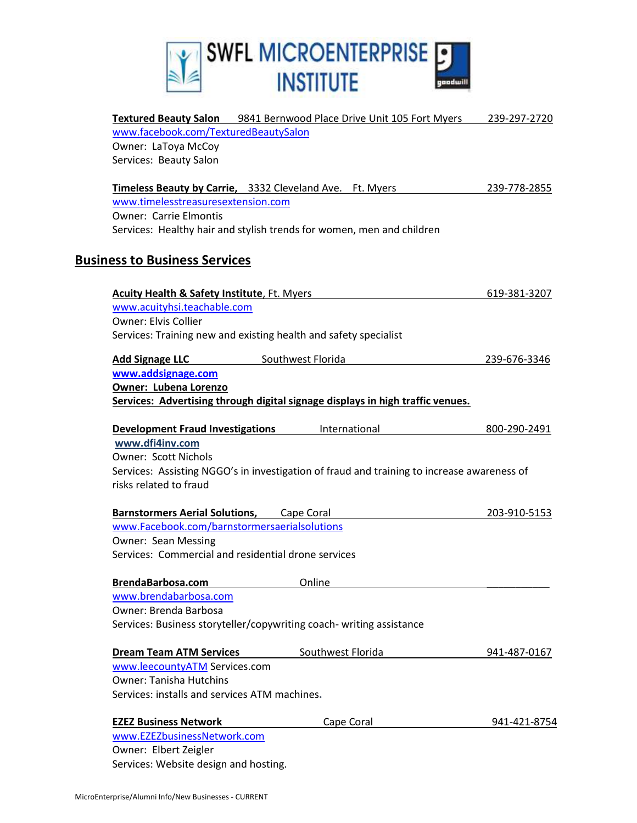

| <b>Textured Beauty Salon</b> 9841 Bernwood Place Drive Unit 105 Fort Myers                 | 239-297-2720 |
|--------------------------------------------------------------------------------------------|--------------|
| www.facebook.com/TexturedBeautySalon                                                       |              |
| Owner: LaToya McCoy                                                                        |              |
| Services: Beauty Salon                                                                     |              |
| Timeless Beauty by Carrie, 3332 Cleveland Ave. Ft. Myers                                   | 239-778-2855 |
| www.timelesstreasuresextension.com                                                         |              |
| <b>Owner: Carrie Elmontis</b>                                                              |              |
| Services: Healthy hair and stylish trends for women, men and children                      |              |
| <b>Business to Business Services</b>                                                       |              |
| <b>Acuity Health &amp; Safety Institute, Ft. Myers</b>                                     | 619-381-3207 |
| www.acuityhsi.teachable.com                                                                |              |
| <b>Owner: Elvis Collier</b>                                                                |              |
| Services: Training new and existing health and safety specialist                           |              |
| Southwest Florida<br><b>Add Signage LLC</b>                                                | 239-676-3346 |
| www.addsignage.com                                                                         |              |
| <b>Owner: Lubena Lorenzo</b>                                                               |              |
| Services: Advertising through digital signage displays in high traffic venues.             |              |
| <b>Development Fraud Investigations</b><br>International                                   | 800-290-2491 |
| www.dfi4inv.com                                                                            |              |
| <b>Owner: Scott Nichols</b>                                                                |              |
| Services: Assisting NGGO's in investigation of fraud and training to increase awareness of |              |
| risks related to fraud                                                                     |              |
| <b>Barnstormers Aerial Solutions, Cape Coral</b>                                           | 203-910-5153 |
| www.Facebook.com/barnstormersaerialsolutions                                               |              |
| <b>Owner: Sean Messing</b>                                                                 |              |
| Services: Commercial and residential drone services                                        |              |
|                                                                                            |              |
| Online<br>BrendaBarbosa.com                                                                |              |
| www.brendabarbosa.com                                                                      |              |
| Owner: Brenda Barbosa                                                                      |              |
| Services: Business storyteller/copywriting coach- writing assistance                       |              |
| Southwest Florida<br><b>Dream Team ATM Services</b>                                        | 941-487-0167 |
| www.leecountyATM Services.com                                                              |              |
| <b>Owner: Tanisha Hutchins</b>                                                             |              |
| Services: installs and services ATM machines.                                              |              |
| <b>EZEZ Business Network</b><br>Cape Coral                                                 | 941-421-8754 |
| www.EZEZbusinessNetwork.com                                                                |              |
| Owner: Elbert Zeigler                                                                      |              |
| Services: Website design and hosting.                                                      |              |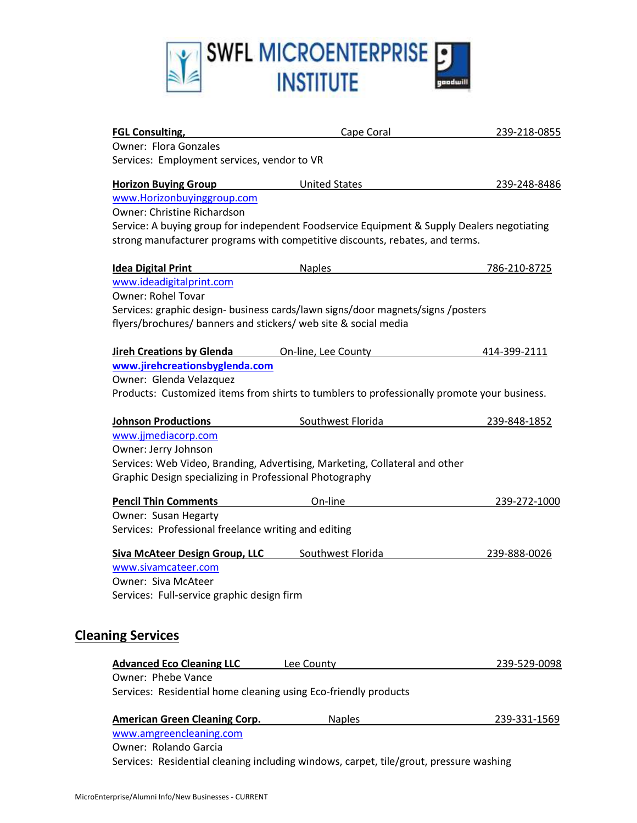

| <b>FGL Consulting,</b>                                                                                                                             | Cape Coral           | 239-218-0855 |
|----------------------------------------------------------------------------------------------------------------------------------------------------|----------------------|--------------|
| <b>Owner: Flora Gonzales</b>                                                                                                                       |                      |              |
| Services: Employment services, vendor to VR                                                                                                        |                      |              |
| <b>Horizon Buying Group</b>                                                                                                                        | <b>United States</b> | 239-248-8486 |
| www.Horizonbuyinggroup.com                                                                                                                         |                      |              |
| Owner: Christine Richardson                                                                                                                        |                      |              |
| Service: A buying group for independent Foodservice Equipment & Supply Dealers negotiating                                                         |                      |              |
| strong manufacturer programs with competitive discounts, rebates, and terms.                                                                       |                      |              |
| <b>Idea Digital Print</b>                                                                                                                          | <b>Naples</b>        | 786-210-8725 |
| www.ideadigitalprint.com                                                                                                                           |                      |              |
| <b>Owner: Rohel Tovar</b>                                                                                                                          |                      |              |
| Services: graphic design- business cards/lawn signs/door magnets/signs /posters<br>flyers/brochures/ banners and stickers/ web site & social media |                      |              |
| <b>Jireh Creations by Glenda</b>                                                                                                                   | On-line, Lee County  | 414-399-2111 |
| www.jirehcreationsbyglenda.com                                                                                                                     |                      |              |
| Owner: Glenda Velazquez                                                                                                                            |                      |              |
| Products: Customized items from shirts to tumblers to professionally promote your business.                                                        |                      |              |
| <b>Johnson Productions</b>                                                                                                                         | Southwest Florida    | 239-848-1852 |
| www.jjmediacorp.com                                                                                                                                |                      |              |
| Owner: Jerry Johnson                                                                                                                               |                      |              |
| Services: Web Video, Branding, Advertising, Marketing, Collateral and other                                                                        |                      |              |
| Graphic Design specializing in Professional Photography                                                                                            |                      |              |
| <b>Pencil Thin Comments</b>                                                                                                                        | On-line              | 239-272-1000 |
| Owner: Susan Hegarty                                                                                                                               |                      |              |
| Services: Professional freelance writing and editing                                                                                               |                      |              |
| <b>Siva McAteer Design Group, LLC</b>                                                                                                              | Southwest Florida    | 239-888-0026 |
| www.sivamcateer.com                                                                                                                                |                      |              |
| Owner: Siva McAteer                                                                                                                                |                      |              |
| Services: Full-service graphic design firm                                                                                                         |                      |              |
|                                                                                                                                                    |                      |              |
| <b>Cleaning Services</b>                                                                                                                           |                      |              |
| <b>Advanced Eco Cleaning LLC</b>                                                                                                                   | Lee County           | 239-529-0098 |
| Owner: Phebe Vance                                                                                                                                 |                      |              |
| Services: Residential home cleaning using Eco-friendly products                                                                                    |                      |              |
|                                                                                                                                                    |                      |              |
| <b>American Green Cleaning Corp.</b>                                                                                                               | <b>Naples</b>        | 239-331-1569 |

Owner: Rolando Garcia Services: Residential cleaning including windows, carpet, tile/grout, pressure washing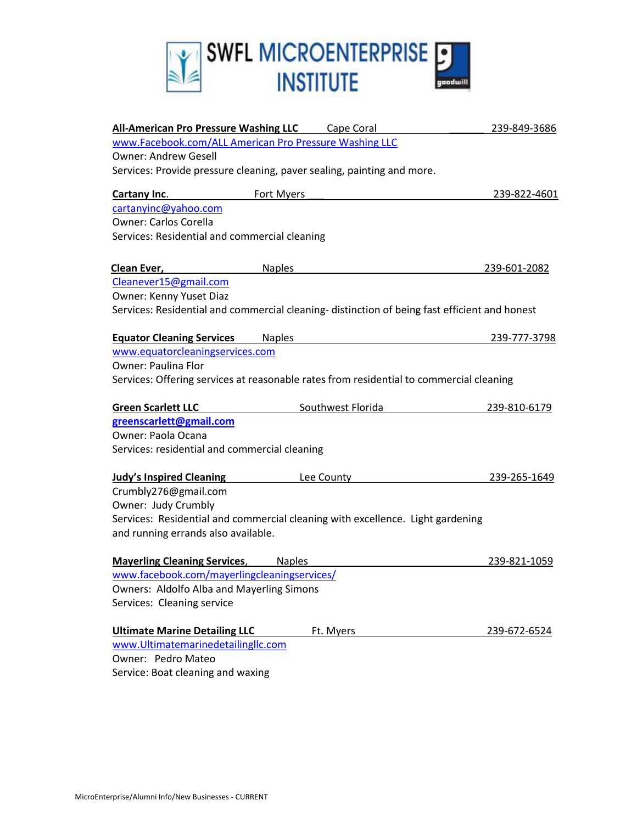

| <b>All-American Pro Pressure Washing LLC</b> Cape Coral                                       |               |                   | 239-849-3686 |
|-----------------------------------------------------------------------------------------------|---------------|-------------------|--------------|
| www.Facebook.com/ALL American Pro Pressure Washing LLC                                        |               |                   |              |
| <b>Owner: Andrew Gesell</b>                                                                   |               |                   |              |
| Services: Provide pressure cleaning, paver sealing, painting and more.                        |               |                   |              |
| Cartany Inc.                                                                                  | Fort Myers    |                   | 239-822-4601 |
| cartanyinc@yahoo.com                                                                          |               |                   |              |
| <b>Owner: Carlos Corella</b>                                                                  |               |                   |              |
| Services: Residential and commercial cleaning                                                 |               |                   |              |
| Clean Ever,                                                                                   | <b>Naples</b> |                   | 239-601-2082 |
| Cleanever15@gmail.com                                                                         |               |                   |              |
| Owner: Kenny Yuset Diaz                                                                       |               |                   |              |
| Services: Residential and commercial cleaning- distinction of being fast efficient and honest |               |                   |              |
| <b>Equator Cleaning Services</b>                                                              | <b>Naples</b> |                   | 239-777-3798 |
| www.equatorcleaningservices.com                                                               |               |                   |              |
| <b>Owner: Paulina Flor</b>                                                                    |               |                   |              |
| Services: Offering services at reasonable rates from residential to commercial cleaning       |               |                   |              |
|                                                                                               |               |                   |              |
| <b>Green Scarlett LLC</b>                                                                     |               | Southwest Florida | 239-810-6179 |
| greenscarlett@gmail.com                                                                       |               |                   |              |
| Owner: Paola Ocana                                                                            |               |                   |              |
| Services: residential and commercial cleaning                                                 |               |                   |              |
| <b>Judy's Inspired Cleaning</b>                                                               |               | Lee County        | 239-265-1649 |
| Crumbly276@gmail.com                                                                          |               |                   |              |
| Owner: Judy Crumbly                                                                           |               |                   |              |
| Services: Residential and commercial cleaning with excellence. Light gardening                |               |                   |              |
| and running errands also available.                                                           |               |                   |              |
| <b>Mayerling Cleaning Services, Naples</b>                                                    |               |                   | 239-821-1059 |
| www.facebook.com/mayerlingcleaningservices/                                                   |               |                   |              |
| <b>Owners: Aldolfo Alba and Mayerling Simons</b>                                              |               |                   |              |
| Services: Cleaning service                                                                    |               |                   |              |
| <b>Ultimate Marine Detailing LLC</b>                                                          |               | Ft. Myers         | 239-672-6524 |
| www.Ultimatemarinedetailingllc.com                                                            |               |                   |              |
| Owner: Pedro Mateo                                                                            |               |                   |              |
|                                                                                               |               |                   |              |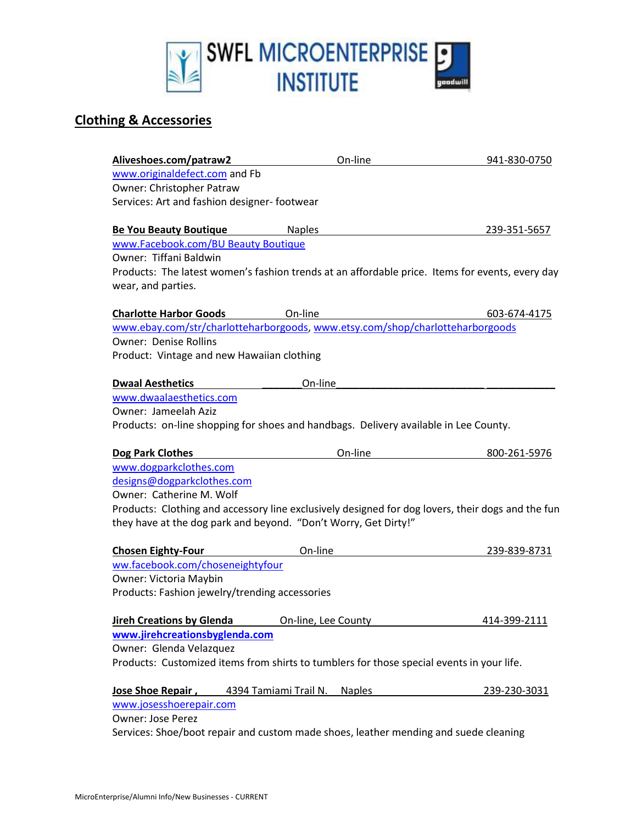

### **Clothing & Accessories**

| Aliveshoes.com/patraw2                                                                            | On-line             | 941-830-0750 |
|---------------------------------------------------------------------------------------------------|---------------------|--------------|
| www.originaldefect.com and Fb                                                                     |                     |              |
| Owner: Christopher Patraw                                                                         |                     |              |
| Services: Art and fashion designer-footwear                                                       |                     |              |
|                                                                                                   |                     |              |
| <b>Be You Beauty Boutique</b>                                                                     | <b>Naples</b>       | 239-351-5657 |
| www.Facebook.com/BU Beauty Boutique                                                               |                     |              |
| Owner: Tiffani Baldwin                                                                            |                     |              |
| Products: The latest women's fashion trends at an affordable price. Items for events, every day   |                     |              |
| wear, and parties.                                                                                |                     |              |
| <b>Charlotte Harbor Goods</b>                                                                     | On-line             | 603-674-4175 |
| www.ebay.com/str/charlotteharborgoods, www.etsy.com/shop/charlotteharborgoods                     |                     |              |
| <b>Owner: Denise Rollins</b>                                                                      |                     |              |
| Product: Vintage and new Hawaiian clothing                                                        |                     |              |
|                                                                                                   |                     |              |
| <b>Dwaal Aesthetics</b>                                                                           | On-line             |              |
| www.dwaalaesthetics.com                                                                           |                     |              |
| Owner: Jameelah Aziz                                                                              |                     |              |
| Products: on-line shopping for shoes and handbags. Delivery available in Lee County.              |                     |              |
|                                                                                                   |                     |              |
| Dog Park Clothes                                                                                  | On-line             | 800-261-5976 |
| www.dogparkclothes.com                                                                            |                     |              |
| designs@dogparkclothes.com<br>Owner: Catherine M. Wolf                                            |                     |              |
| Products: Clothing and accessory line exclusively designed for dog lovers, their dogs and the fun |                     |              |
| they have at the dog park and beyond. "Don't Worry, Get Dirty!"                                   |                     |              |
|                                                                                                   |                     |              |
| <b>Chosen Eighty-Four</b>                                                                         | On-line             | 239-839-8731 |
| ww.facebook.com/choseneightyfour                                                                  |                     |              |
| Owner: Victoria Maybin                                                                            |                     |              |
| Products: Fashion jewelry/trending accessories                                                    |                     |              |
|                                                                                                   |                     |              |
| <b>Jireh Creations by Glenda</b>                                                                  | On-line, Lee County | 414-399-2111 |
| www.jirehcreationsbyglenda.com                                                                    |                     |              |
| Owner: Glenda Velazquez                                                                           |                     |              |
| Products: Customized items from shirts to tumblers for those special events in your life.         |                     |              |
|                                                                                                   |                     |              |
| Jose Shoe Repair, 4394 Tamiami Trail N. Naples<br>www.josesshoerepair.com                         |                     | 239-230-3031 |
| <b>Owner: Jose Perez</b>                                                                          |                     |              |
| Services: Shoe/boot repair and custom made shoes, leather mending and suede cleaning              |                     |              |
|                                                                                                   |                     |              |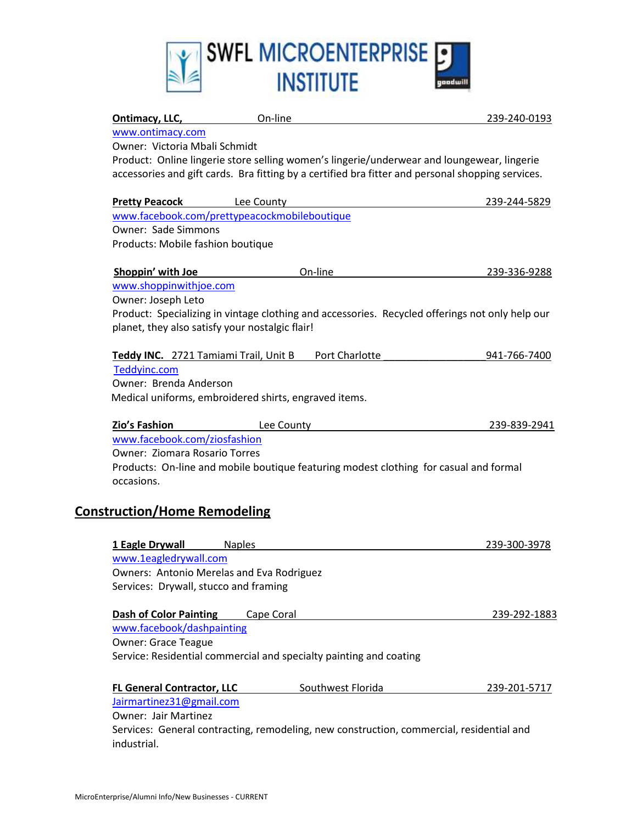

| Ontimacy, LLC,                                                     | On-line       |                   | 239-240-0193                                                                                      |
|--------------------------------------------------------------------|---------------|-------------------|---------------------------------------------------------------------------------------------------|
| www.ontimacy.com                                                   |               |                   |                                                                                                   |
| Owner: Victoria Mbali Schmidt                                      |               |                   |                                                                                                   |
|                                                                    |               |                   | Product: Online lingerie store selling women's lingerie/underwear and loungewear, lingerie        |
|                                                                    |               |                   | accessories and gift cards. Bra fitting by a certified bra fitter and personal shopping services. |
| <b>Pretty Peacock</b>                                              | Lee County    |                   | 239-244-5829                                                                                      |
| www.facebook.com/prettypeacockmobileboutique                       |               |                   |                                                                                                   |
| <b>Owner: Sade Simmons</b>                                         |               |                   |                                                                                                   |
| Products: Mobile fashion boutique                                  |               |                   |                                                                                                   |
| Shoppin' with Joe                                                  |               | On-line           | 239-336-9288                                                                                      |
| www.shoppinwithjoe.com                                             |               |                   |                                                                                                   |
| Owner: Joseph Leto                                                 |               |                   |                                                                                                   |
| planet, they also satisfy your nostalgic flair!                    |               |                   | Product: Specializing in vintage clothing and accessories. Recycled offerings not only help our   |
| Teddy INC. 2721 Tamiami Trail, Unit B                              |               | Port Charlotte    | 941-766-7400                                                                                      |
| Teddyinc.com                                                       |               |                   |                                                                                                   |
| Owner: Brenda Anderson                                             |               |                   |                                                                                                   |
| Medical uniforms, embroidered shirts, engraved items.              |               |                   |                                                                                                   |
| Zio's Fashion                                                      | Lee County    |                   | 239-839-2941                                                                                      |
| www.facebook.com/ziosfashion                                       |               |                   |                                                                                                   |
| <b>Owner: Ziomara Rosario Torres</b>                               |               |                   |                                                                                                   |
| occasions.                                                         |               |                   | Products: On-line and mobile boutique featuring modest clothing for casual and formal             |
| <b>Construction/Home Remodeling</b>                                |               |                   |                                                                                                   |
| 1 Eagle Drywall                                                    | <b>Naples</b> |                   | 239-300-3978                                                                                      |
| www.1eagledrywall.com                                              |               |                   |                                                                                                   |
| Owners: Antonio Merelas and Eva Rodriguez                          |               |                   |                                                                                                   |
| Services: Drywall, stucco and framing                              |               |                   |                                                                                                   |
| <b>Dash of Color Painting</b>                                      | Cape Coral    |                   | 239-292-1883                                                                                      |
| www.facebook/dashpainting                                          |               |                   |                                                                                                   |
| <b>Owner: Grace Teague</b>                                         |               |                   |                                                                                                   |
| Service: Residential commercial and specialty painting and coating |               |                   |                                                                                                   |
| <b>FL General Contractor, LLC</b>                                  |               | Southwest Florida | 239-201-5717                                                                                      |
| Jairmartinez31@gmail.com                                           |               |                   |                                                                                                   |
| <b>Owner: Jair Martinez</b>                                        |               |                   |                                                                                                   |
|                                                                    |               |                   | Services: General contracting, remodeling, new construction, commercial, residential and          |
| industrial.                                                        |               |                   |                                                                                                   |
|                                                                    |               |                   |                                                                                                   |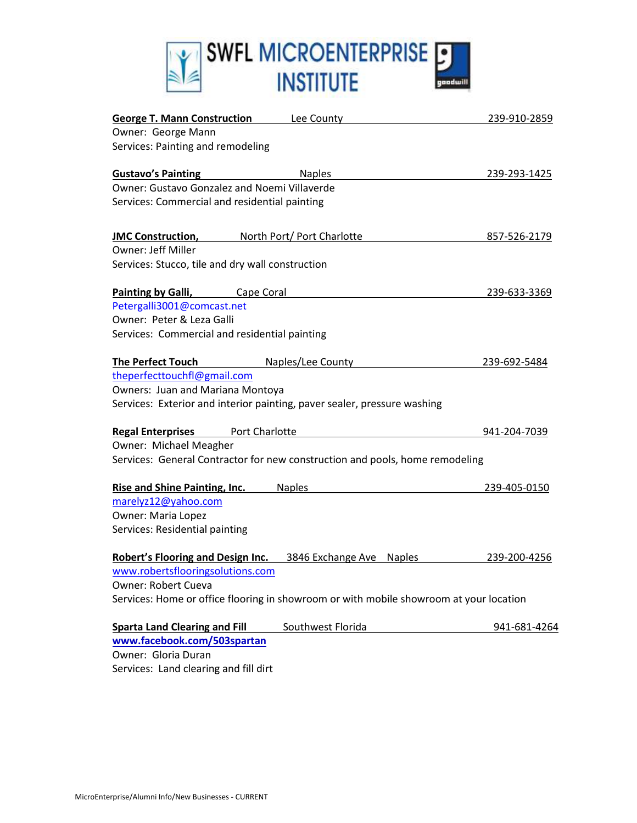

| <b>George T. Mann Construction Lee County</b>                                          | 239-910-2859 |
|----------------------------------------------------------------------------------------|--------------|
| Owner: George Mann                                                                     |              |
| Services: Painting and remodeling                                                      |              |
| <b>Gustavo's Painting</b><br><b>Naples</b>                                             | 239-293-1425 |
| Owner: Gustavo Gonzalez and Noemi Villaverde                                           |              |
| Services: Commercial and residential painting                                          |              |
|                                                                                        |              |
| North Port/ Port Charlotte<br><b>JMC Construction,</b>                                 | 857-526-2179 |
| <b>Owner: Jeff Miller</b>                                                              |              |
| Services: Stucco, tile and dry wall construction                                       |              |
| <b>Painting by Galli, Cape Coral</b>                                                   | 239-633-3369 |
| Petergalli3001@comcast.net                                                             |              |
| Owner: Peter & Leza Galli                                                              |              |
| Services: Commercial and residential painting                                          |              |
|                                                                                        |              |
| <b>The Perfect Touch</b><br>Naples/Lee County                                          | 239-692-5484 |
| theperfecttouchfl@gmail.com                                                            |              |
| Owners: Juan and Mariana Montoya                                                       |              |
| Services: Exterior and interior painting, paver sealer, pressure washing               |              |
| <b>Regal Enterprises</b> Port Charlotte                                                | 941-204-7039 |
| Owner: Michael Meagher                                                                 |              |
| Services: General Contractor for new construction and pools, home remodeling           |              |
|                                                                                        |              |
| Rise and Shine Painting, Inc.<br><b>Naples</b>                                         | 239-405-0150 |
| marelyz12@yahoo.com                                                                    |              |
| Owner: Maria Lopez                                                                     |              |
| Services: Residential painting                                                         |              |
| Robert's Flooring and Design Inc. 3846 Exchange Ave Naples                             | 239-200-4256 |
| www.robertsflooringsolutions.com                                                       |              |
| <b>Owner: Robert Cueva</b>                                                             |              |
| Services: Home or office flooring in showroom or with mobile showroom at your location |              |
| Southwest Florida<br><b>Sparta Land Clearing and Fill</b>                              | 941-681-4264 |
| www.facebook.com/503spartan                                                            |              |
| Owner: Gloria Duran                                                                    |              |
| Services: Land clearing and fill dirt                                                  |              |
|                                                                                        |              |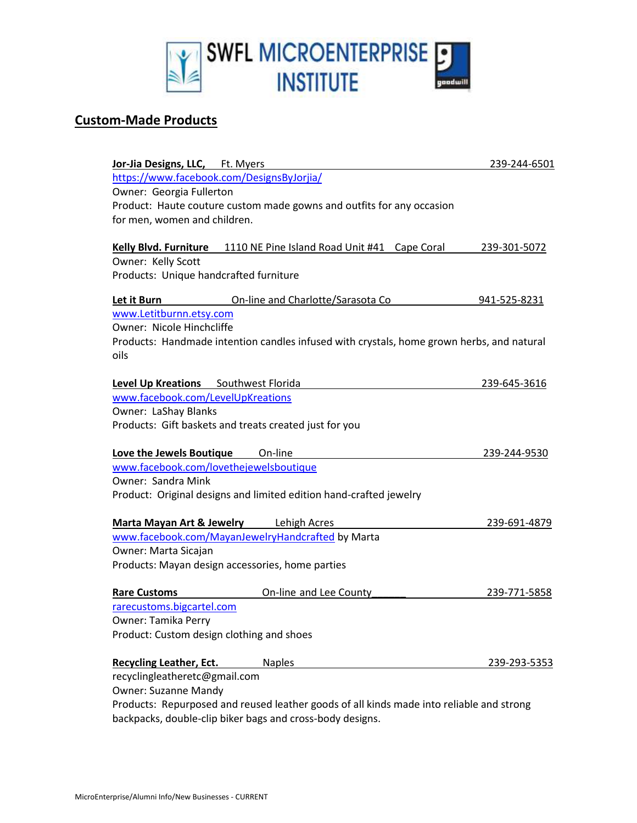

#### **Custom-Made Products**

| Jor-Jia Designs, LLC, Ft. Myers           |                                                                                           | 239-244-6501 |
|-------------------------------------------|-------------------------------------------------------------------------------------------|--------------|
|                                           | https://www.facebook.com/DesignsByJorjia/                                                 |              |
| Owner: Georgia Fullerton                  |                                                                                           |              |
|                                           | Product: Haute couture custom made gowns and outfits for any occasion                     |              |
| for men, women and children.              |                                                                                           |              |
|                                           |                                                                                           |              |
|                                           | Kelly Blvd. Furniture 1110 NE Pine Island Road Unit #41 Cape Coral                        | 239-301-5072 |
| Owner: Kelly Scott                        |                                                                                           |              |
| Products: Unique handcrafted furniture    |                                                                                           |              |
| Let it Burn                               | On-line and Charlotte/Sarasota Co                                                         | 941-525-8231 |
| www.Letitburnn.etsy.com                   |                                                                                           |              |
| Owner: Nicole Hinchcliffe                 |                                                                                           |              |
|                                           | Products: Handmade intention candles infused with crystals, home grown herbs, and natural |              |
| oils                                      |                                                                                           |              |
|                                           |                                                                                           |              |
| Level Up Kreations Southwest Florida      |                                                                                           | 239-645-3616 |
| www.facebook.com/LevelUpKreations         |                                                                                           |              |
| Owner: LaShay Blanks                      |                                                                                           |              |
|                                           | Products: Gift baskets and treats created just for you                                    |              |
|                                           |                                                                                           |              |
| Love the Jewels Boutique                  | On-line                                                                                   | 239-244-9530 |
| www.facebook.com/lovethejewelsboutique    |                                                                                           |              |
| Owner: Sandra Mink                        |                                                                                           |              |
|                                           | Product: Original designs and limited edition hand-crafted jewelry                        |              |
|                                           |                                                                                           |              |
|                                           | <b>Marta Mayan Art &amp; Jewelry</b> Lehigh Acres                                         | 239-691-4879 |
|                                           | www.facebook.com/MayanJewelryHandcrafted by Marta                                         |              |
| Owner: Marta Sicajan                      | Products: Mayan design accessories, home parties                                          |              |
|                                           |                                                                                           |              |
| <b>Rare Customs</b>                       | On-line and Lee County                                                                    | 239-771-5858 |
| rarecustoms.bigcartel.com                 |                                                                                           |              |
| Owner: Tamika Perry                       |                                                                                           |              |
| Product: Custom design clothing and shoes |                                                                                           |              |
|                                           |                                                                                           |              |
| <b>Recycling Leather, Ect.</b>            | <b>Naples</b>                                                                             | 239-293-5353 |
| recyclingleatheretc@gmail.com             |                                                                                           |              |
| Owner: Suzanne Mandy                      |                                                                                           |              |
|                                           | Products: Repurposed and reused leather goods of all kinds made into reliable and strong  |              |
|                                           | backpacks, double-clip biker bags and cross-body designs.                                 |              |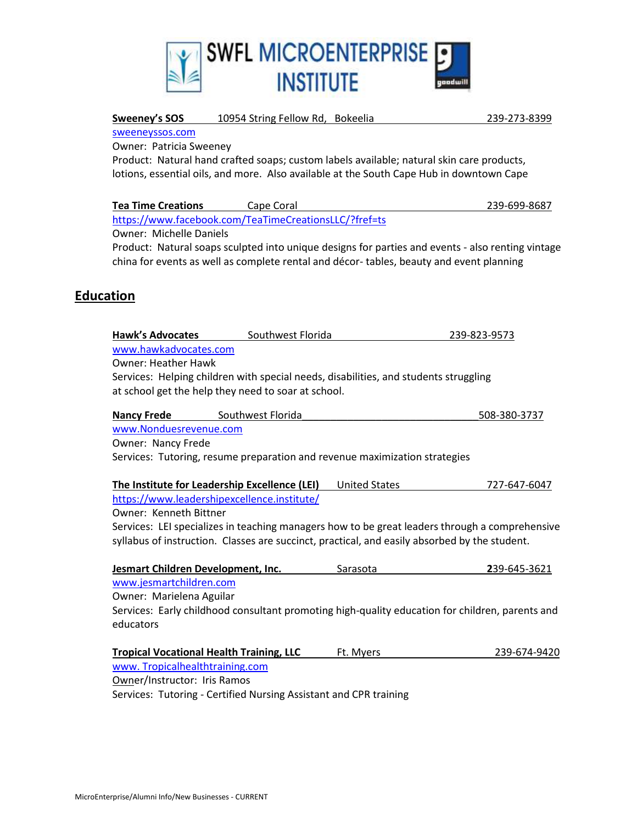

| Sweeney's SOS                                 | 10954 String Fellow Rd, Bokeelia                                                              |                      | 239-273-8399                                                                                                   |  |  |
|-----------------------------------------------|-----------------------------------------------------------------------------------------------|----------------------|----------------------------------------------------------------------------------------------------------------|--|--|
| sweeneyssos.com                               |                                                                                               |                      |                                                                                                                |  |  |
| Owner: Patricia Sweeney                       |                                                                                               |                      |                                                                                                                |  |  |
|                                               | Product: Natural hand crafted soaps; custom labels available; natural skin care products,     |                      |                                                                                                                |  |  |
|                                               | lotions, essential oils, and more. Also available at the South Cape Hub in downtown Cape      |                      |                                                                                                                |  |  |
| <b>Tea Time Creations</b>                     | Cape Coral                                                                                    |                      | 239-699-8687                                                                                                   |  |  |
|                                               | https://www.facebook.com/TeaTimeCreationsLLC/?fref=ts                                         |                      |                                                                                                                |  |  |
| <b>Owner: Michelle Daniels</b>                |                                                                                               |                      |                                                                                                                |  |  |
|                                               |                                                                                               |                      | Product: Natural soaps sculpted into unique designs for parties and events - also renting vintage              |  |  |
|                                               | china for events as well as complete rental and décor-tables, beauty and event planning       |                      |                                                                                                                |  |  |
|                                               |                                                                                               |                      |                                                                                                                |  |  |
| <b>Education</b>                              |                                                                                               |                      |                                                                                                                |  |  |
|                                               |                                                                                               |                      |                                                                                                                |  |  |
|                                               |                                                                                               |                      |                                                                                                                |  |  |
| <b>Hawk's Advocates</b>                       | Southwest Florida                                                                             |                      | 239-823-9573                                                                                                   |  |  |
| www.hawkadvocates.com                         |                                                                                               |                      |                                                                                                                |  |  |
| <b>Owner: Heather Hawk</b>                    |                                                                                               |                      |                                                                                                                |  |  |
|                                               | Services: Helping children with special needs, disabilities, and students struggling          |                      |                                                                                                                |  |  |
|                                               | at school get the help they need to soar at school.                                           |                      |                                                                                                                |  |  |
|                                               |                                                                                               |                      |                                                                                                                |  |  |
| <b>Nancy Frede</b>                            | Southwest Florida                                                                             |                      | 508-380-3737                                                                                                   |  |  |
| www.Nonduesrevenue.com                        |                                                                                               |                      |                                                                                                                |  |  |
| Owner: Nancy Frede                            |                                                                                               |                      |                                                                                                                |  |  |
|                                               | Services: Tutoring, resume preparation and revenue maximization strategies                    |                      |                                                                                                                |  |  |
|                                               |                                                                                               |                      |                                                                                                                |  |  |
| The Institute for Leadership Excellence (LEI) |                                                                                               | <b>United States</b> |                                                                                                                |  |  |
|                                               |                                                                                               |                      |                                                                                                                |  |  |
|                                               | https://www.leadershipexcellence.institute/                                                   |                      |                                                                                                                |  |  |
| Owner: Kenneth Bittner                        |                                                                                               |                      |                                                                                                                |  |  |
|                                               |                                                                                               |                      |                                                                                                                |  |  |
|                                               | syllabus of instruction. Classes are succinct, practical, and easily absorbed by the student. |                      | 727-647-6047<br>Services: LEI specializes in teaching managers how to be great leaders through a comprehensive |  |  |
| Jesmart Children Development, Inc.            |                                                                                               | Sarasota             | 239-645-3621                                                                                                   |  |  |
| www.jesmartchildren.com                       |                                                                                               |                      |                                                                                                                |  |  |
|                                               |                                                                                               |                      |                                                                                                                |  |  |
| Owner: Marielena Aguilar                      |                                                                                               |                      |                                                                                                                |  |  |
| educators                                     |                                                                                               |                      | Services: Early childhood consultant promoting high-quality education for children, parents and                |  |  |
|                                               |                                                                                               |                      |                                                                                                                |  |  |
|                                               | <b>Tropical Vocational Health Training, LLC</b>                                               | Ft. Myers            | 239-674-9420                                                                                                   |  |  |
| www. Tropicalhealthtraining.com               |                                                                                               |                      |                                                                                                                |  |  |

Services: Tutoring - Certified Nursing Assistant and CPR training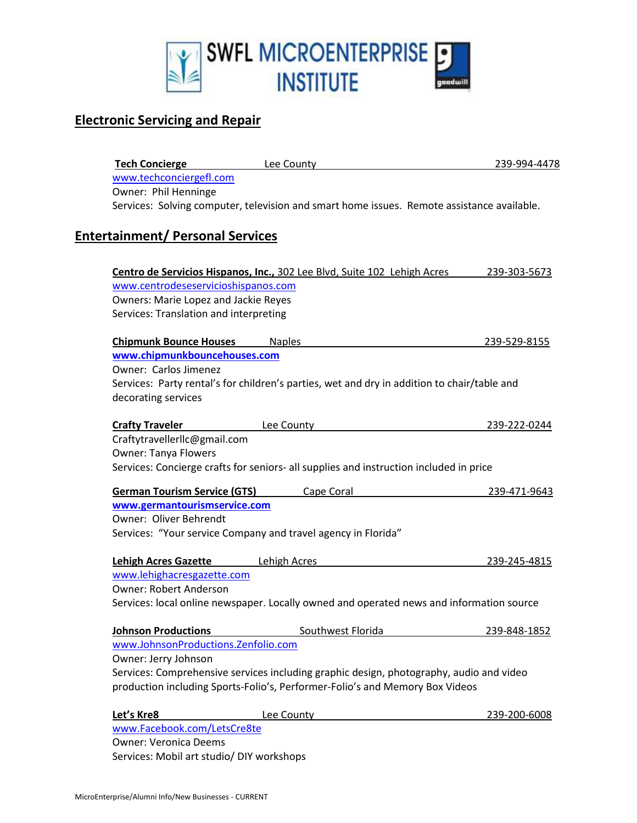

## **Electronic Servicing and Repair**

| <b>Tech Concierge</b>                       | Lee County                                                                                  | 239-994-4478 |
|---------------------------------------------|---------------------------------------------------------------------------------------------|--------------|
| www.techconciergefl.com                     |                                                                                             |              |
| Owner: Phil Henninge                        |                                                                                             |              |
|                                             | Services: Solving computer, television and smart home issues. Remote assistance available.  |              |
| <b>Entertainment/ Personal Services</b>     |                                                                                             |              |
|                                             |                                                                                             |              |
|                                             | Centro de Servicios Hispanos, Inc., 302 Lee Blvd, Suite 102 Lehigh Acres                    | 239-303-5673 |
| www.centrodeseservicioshispanos.com         |                                                                                             |              |
| <b>Owners: Marie Lopez and Jackie Reyes</b> |                                                                                             |              |
| Services: Translation and interpreting      |                                                                                             |              |
| <b>Chipmunk Bounce Houses</b>               | <b>Naples</b>                                                                               | 239-529-8155 |
| www.chipmunkbouncehouses.com                |                                                                                             |              |
| Owner: Carlos Jimenez                       |                                                                                             |              |
|                                             | Services: Party rental's for children's parties, wet and dry in addition to chair/table and |              |
| decorating services                         |                                                                                             |              |
|                                             |                                                                                             |              |
| <b>Crafty Traveler</b>                      | Lee County                                                                                  | 239-222-0244 |
| Craftytravellerllc@gmail.com                |                                                                                             |              |
| <b>Owner: Tanya Flowers</b>                 |                                                                                             |              |
|                                             | Services: Concierge crafts for seniors- all supplies and instruction included in price      |              |
| <b>German Tourism Service (GTS)</b>         | Cape Coral                                                                                  | 239-471-9643 |
| www.germantourismservice.com                |                                                                                             |              |
| Owner: Oliver Behrendt                      |                                                                                             |              |
|                                             | Services: "Your service Company and travel agency in Florida"                               |              |
| <b>Lehigh Acres Gazette</b>                 | Lehigh Acres                                                                                | 239-245-4815 |
| www.lehighacresgazette.com                  |                                                                                             |              |
| <b>Owner: Robert Anderson</b>               |                                                                                             |              |
|                                             | Services: local online newspaper. Locally owned and operated news and information source    |              |
| <b>Johnson Productions</b>                  | Southwest Florida                                                                           | 239-848-1852 |
| www.JohnsonProductions.Zenfolio.com         |                                                                                             |              |
| Owner: Jerry Johnson                        |                                                                                             |              |
|                                             | Services: Comprehensive services including graphic design, photography, audio and video     |              |
|                                             | production including Sports-Folio's, Performer-Folio's and Memory Box Videos                |              |
| Let's Kre8                                  | Lee County                                                                                  | 239-200-6008 |
| www.Facebook.com/LetsCre8te                 |                                                                                             |              |
| <b>Owner: Veronica Deems</b>                |                                                                                             |              |
| Services: Mobil art studio/ DIY workshops   |                                                                                             |              |
|                                             |                                                                                             |              |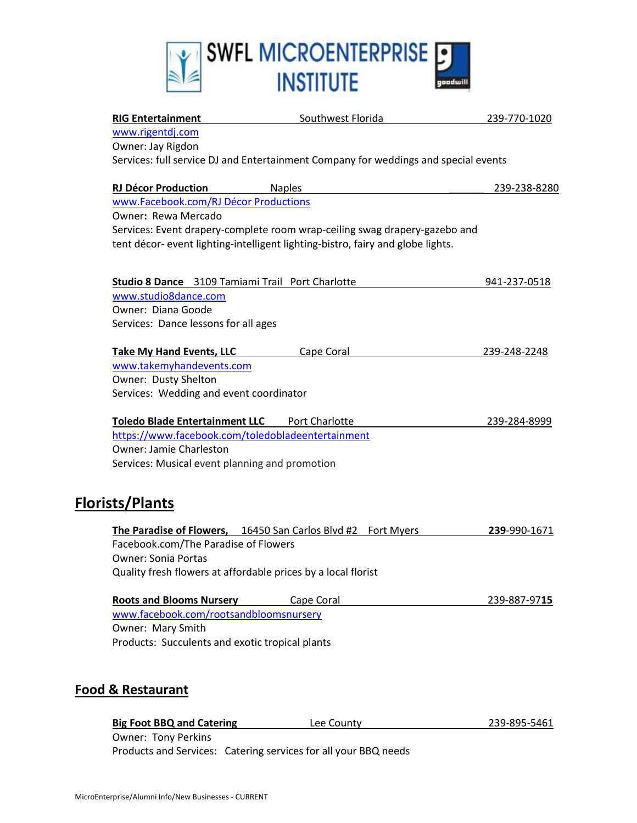

| <b>RIG Entertainment</b>                                      | Southwest Florida                                                                   | 239-770-1020 |
|---------------------------------------------------------------|-------------------------------------------------------------------------------------|--------------|
| www.rigentdj.com                                              |                                                                                     |              |
| Owner: Jay Rigdon                                             |                                                                                     |              |
|                                                               | Services: full service DJ and Entertainment Company for weddings and special events |              |
| <b>RJ Décor Production</b>                                    | <b>Naples</b>                                                                       | 239-238-8280 |
| www.Facebook.com/RJ Décor Productions                         |                                                                                     |              |
| Owner: Rewa Mercado                                           |                                                                                     |              |
|                                                               | Services: Event drapery-complete room wrap-ceiling swag drapery-gazebo and          |              |
|                                                               | tent décor- event lighting-intelligent lighting-bistro, fairy and globe lights.     |              |
| Studio 8 Dance 3109 Tamiami Trail Port Charlotte              |                                                                                     | 941-237-0518 |
| www.studio8dance.com                                          |                                                                                     |              |
| Owner: Diana Goode                                            |                                                                                     |              |
| Services: Dance lessons for all ages                          |                                                                                     |              |
| <b>Take My Hand Events, LLC</b>                               | Cape Coral                                                                          | 239-248-2248 |
| www.takemyhandevents.com                                      |                                                                                     |              |
| Owner: Dusty Shelton                                          |                                                                                     |              |
| Services: Wedding and event coordinator                       |                                                                                     |              |
| Toledo Blade Entertainment LLC Port Charlotte                 |                                                                                     | 239-284-8999 |
| https://www.facebook.com/toledobladeentertainment             |                                                                                     |              |
| Owner: Jamie Charleston                                       |                                                                                     |              |
| Services: Musical event planning and promotion                |                                                                                     |              |
| <b>Florists/Plants</b>                                        |                                                                                     |              |
|                                                               | The Paradise of Flowers, 16450 San Carlos Blvd #2 Fort Myers                        | 239-990-1671 |
| Facebook.com/The Paradise of Flowers                          |                                                                                     |              |
| <b>Owner: Sonia Portas</b>                                    |                                                                                     |              |
| Quality fresh flowers at affordable prices by a local florist |                                                                                     |              |
| <b>Roots and Blooms Nursery Cape Coral</b>                    |                                                                                     | 239-887-9715 |
| www.facebook.com/rootsandbloomsnursery                        |                                                                                     |              |
| Owner: Mary Smith                                             |                                                                                     |              |
| Products: Succulents and exotic tropical plants               |                                                                                     |              |
| <b>Food &amp; Restaurant</b>                                  |                                                                                     |              |
| <b>Big Foot BBQ and Catering</b>                              | Lee County                                                                          | 239-895-5461 |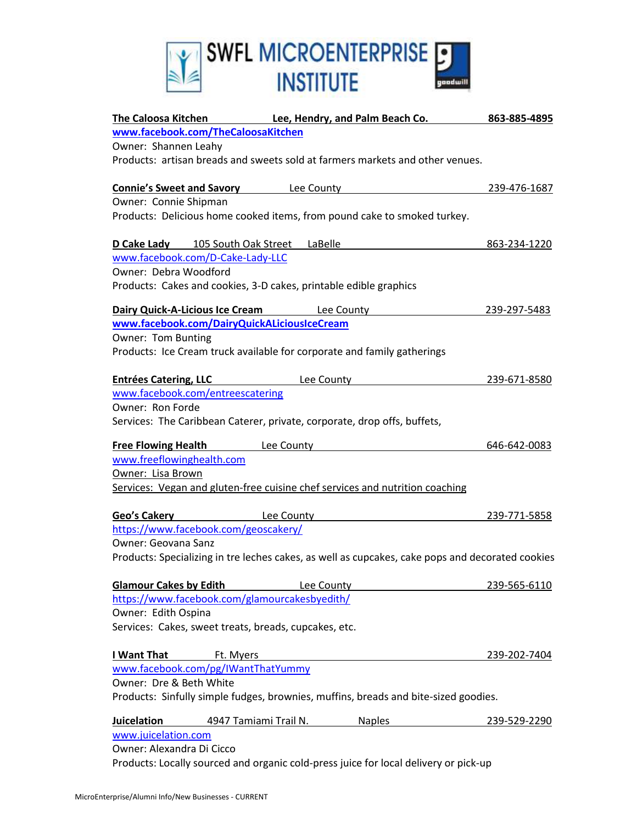

| <b>The Caloosa Kitchen</b>                    | <b>Example 20 Lee, Hendry, and Palm Beach Co.</b>                                                | 863-885-4895 |
|-----------------------------------------------|--------------------------------------------------------------------------------------------------|--------------|
| www.facebook.com/TheCaloosaKitchen            |                                                                                                  |              |
| Owner: Shannen Leahy                          |                                                                                                  |              |
|                                               | Products: artisan breads and sweets sold at farmers markets and other venues.                    |              |
|                                               |                                                                                                  |              |
|                                               | <b>Connie's Sweet and Savory Lee County</b>                                                      | 239-476-1687 |
| Owner: Connie Shipman                         |                                                                                                  |              |
|                                               | Products: Delicious home cooked items, from pound cake to smoked turkey.                         |              |
| D Cake Lady 105 South Oak Street LaBelle      |                                                                                                  | 863-234-1220 |
| www.facebook.com/D-Cake-Lady-LLC              |                                                                                                  |              |
| Owner: Debra Woodford                         |                                                                                                  |              |
|                                               | Products: Cakes and cookies, 3-D cakes, printable edible graphics                                |              |
|                                               | Dairy Quick-A-Licious Ice Cream Lee County                                                       | 239-297-5483 |
| www.facebook.com/DairyQuickALiciousIceCream   |                                                                                                  |              |
| Owner: Tom Bunting                            |                                                                                                  |              |
|                                               | Products: Ice Cream truck available for corporate and family gatherings                          |              |
| <b>Entrées Catering, LLC</b>                  | Lee County                                                                                       | 239-671-8580 |
| www.facebook.com/entreescatering              |                                                                                                  |              |
| Owner: Ron Forde                              |                                                                                                  |              |
|                                               | Services: The Caribbean Caterer, private, corporate, drop offs, buffets,                         |              |
|                                               |                                                                                                  |              |
| <b>Free Flowing Health</b>                    | <b>Example 2</b> Lee County                                                                      | 646-642-0083 |
| www.freeflowinghealth.com                     |                                                                                                  |              |
| Owner: Lisa Brown                             |                                                                                                  |              |
|                                               | Services: Vegan and gluten-free cuisine chef services and nutrition coaching                     |              |
| Geo's Cakery                                  | <b>Example 2 County</b>                                                                          | 239-771-5858 |
| https://www.facebook.com/geoscakery/          |                                                                                                  |              |
| <b>Owner: Geovana Sanz</b>                    |                                                                                                  |              |
|                                               | Products: Specializing in tre leches cakes, as well as cupcakes, cake pops and decorated cookies |              |
|                                               |                                                                                                  |              |
| <b>Glamour Cakes by Edith</b>                 | Lee County                                                                                       | 239-565-6110 |
| https://www.facebook.com/glamourcakesbyedith/ |                                                                                                  |              |
| Owner: Edith Ospina                           |                                                                                                  |              |
|                                               | Services: Cakes, sweet treats, breads, cupcakes, etc.                                            |              |
| I Want That                                   | Ft. Myers                                                                                        | 239-202-7404 |
| www.facebook.com/pg/IWantThatYummy            |                                                                                                  |              |
| Owner: Dre & Beth White                       |                                                                                                  |              |
|                                               | Products: Sinfully simple fudges, brownies, muffins, breads and bite-sized goodies.              |              |
| Juicelation                                   | 4947 Tamiami Trail N.<br><b>Naples</b>                                                           | 239-529-2290 |
| www.juicelation.com                           |                                                                                                  |              |
| Owner: Alexandra Di Cicco                     |                                                                                                  |              |
|                                               | Products: Locally sourced and organic cold-press juice for local delivery or pick-up             |              |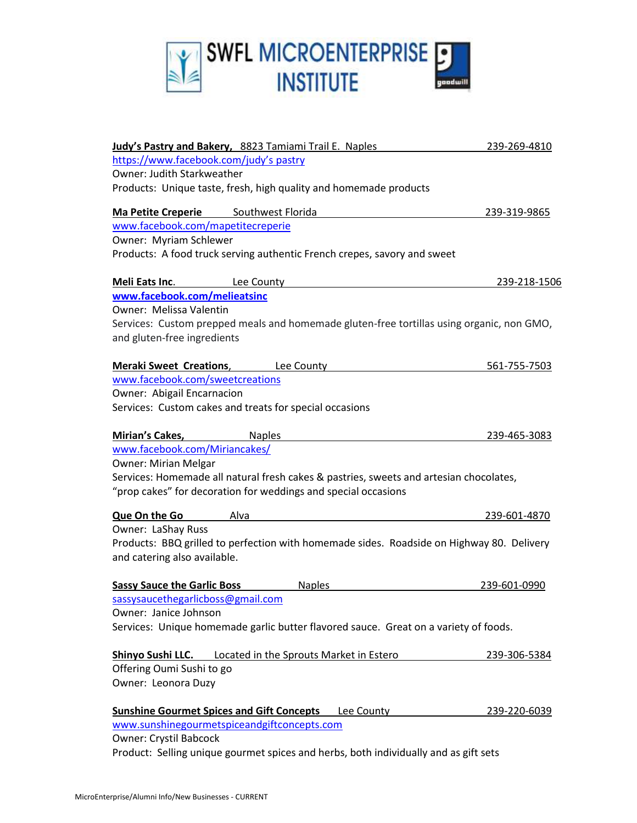

| Judy's Pastry and Bakery, 8823 Tamiami Trail E. Naples                                                                    | 239-269-4810 |
|---------------------------------------------------------------------------------------------------------------------------|--------------|
| https://www.facebook.com/judy's pastry                                                                                    |              |
| <b>Owner: Judith Starkweather</b>                                                                                         |              |
| Products: Unique taste, fresh, high quality and homemade products                                                         |              |
| Ma Petite Creperie Southwest Florida                                                                                      | 239-319-9865 |
| www.facebook.com/mapetitecreperie                                                                                         |              |
| Owner: Myriam Schlewer                                                                                                    |              |
| Products: A food truck serving authentic French crepes, savory and sweet                                                  |              |
| Meli Eats Inc.<br>Lee County                                                                                              | 239-218-1506 |
| www.facebook.com/melieatsinc                                                                                              |              |
| Owner: Melissa Valentin                                                                                                   |              |
| Services: Custom prepped meals and homemade gluten-free tortillas using organic, non GMO,                                 |              |
| and gluten-free ingredients                                                                                               |              |
| <b>Meraki Sweet Creations,</b><br><b>Lee County</b>                                                                       | 561-755-7503 |
| www.facebook.com/sweetcreations                                                                                           |              |
| Owner: Abigail Encarnacion                                                                                                |              |
| Services: Custom cakes and treats for special occasions                                                                   |              |
| <b>Mirian's Cakes,</b><br><b>Naples</b>                                                                                   | 239-465-3083 |
| www.facebook.com/Miriancakes/                                                                                             |              |
| <b>Owner: Mirian Melgar</b>                                                                                               |              |
| Services: Homemade all natural fresh cakes & pastries, sweets and artesian chocolates,                                    |              |
| "prop cakes" for decoration for weddings and special occasions                                                            |              |
| <b>Que On the Go</b><br>Alva                                                                                              | 239-601-4870 |
| Owner: LaShay Russ                                                                                                        |              |
| Products: BBQ grilled to perfection with homemade sides. Roadside on Highway 80. Delivery<br>and catering also available. |              |
| <b>Sassy Sauce the Garlic Boss</b><br><b>Naples</b>                                                                       | 239-601-0990 |
| sassysaucethegarlicboss@gmail.com                                                                                         |              |
| Owner: Janice Johnson                                                                                                     |              |
| Services: Unique homemade garlic butter flavored sauce. Great on a variety of foods.                                      |              |
| <b>Shinyo Sushi LLC.</b> Located in the Sprouts Market in Estero                                                          | 239-306-5384 |
| Offering Oumi Sushi to go                                                                                                 |              |
| Owner: Leonora Duzy                                                                                                       |              |
| <b>Sunshine Gourmet Spices and Gift Concepts Lee County</b>                                                               | 239-220-6039 |
| www.sunshinegourmetspiceandgiftconcepts.com                                                                               |              |
| <b>Owner: Crystil Babcock</b>                                                                                             |              |
| Product: Selling unique gourmet spices and herbs, both individually and as gift sets                                      |              |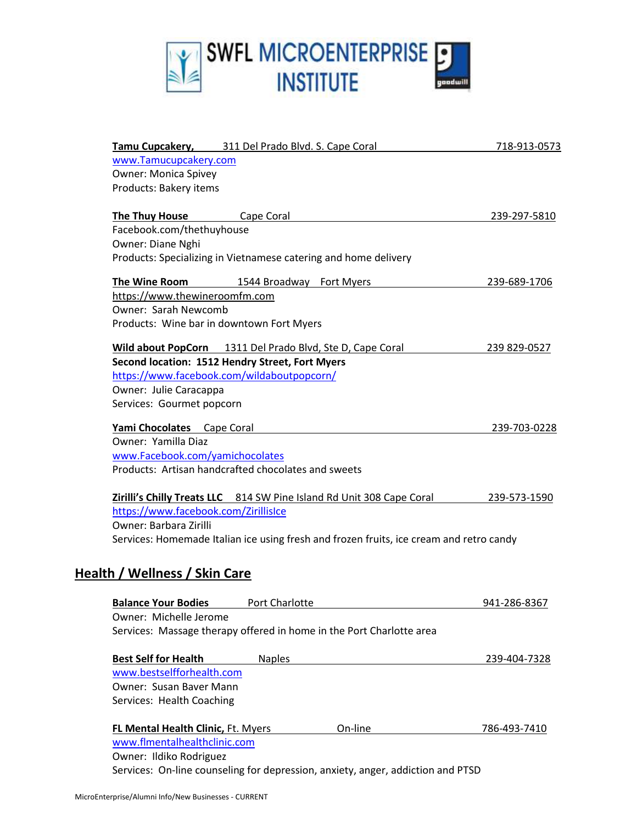

|                                                 | Tamu Cupcakery, 311 Del Prado Blvd. S. Cape Coral                                       | 718-913-0573 |
|-------------------------------------------------|-----------------------------------------------------------------------------------------|--------------|
| www.Tamucupcakery.com                           |                                                                                         |              |
| <b>Owner: Monica Spivey</b>                     |                                                                                         |              |
| Products: Bakery items                          |                                                                                         |              |
| <b>The Thuy House</b>                           | Cape Coral                                                                              | 239-297-5810 |
| Facebook.com/thethuyhouse                       |                                                                                         |              |
| Owner: Diane Nghi                               |                                                                                         |              |
|                                                 | Products: Specializing in Vietnamese catering and home delivery                         |              |
| The Wine Room                                   | 1544 Broadway Fort Myers                                                                | 239-689-1706 |
| https://www.thewineroomfm.com                   |                                                                                         |              |
| Owner: Sarah Newcomb                            |                                                                                         |              |
| Products: Wine bar in downtown Fort Myers       |                                                                                         |              |
|                                                 | Wild about PopCorn 1311 Del Prado Blvd, Ste D, Cape Coral                               | 239 829-0527 |
| Second location: 1512 Hendry Street, Fort Myers |                                                                                         |              |
| https://www.facebook.com/wildaboutpopcorn/      |                                                                                         |              |
| Owner: Julie Caracappa                          |                                                                                         |              |
| Services: Gourmet popcorn                       |                                                                                         |              |
| Yami Chocolates Cape Coral                      |                                                                                         | 239-703-0228 |
| Owner: Yamilla Diaz                             |                                                                                         |              |
| www.Facebook.com/yamichocolates                 |                                                                                         |              |
|                                                 | Products: Artisan handcrafted chocolates and sweets                                     |              |
|                                                 | Zirilli's Chilly Treats LLC 814 SW Pine Island Rd Unit 308 Cape Coral                   | 239-573-1590 |
| https://www.facebook.com/ZirillisIce            |                                                                                         |              |
| Owner: Barbara Zirilli                          |                                                                                         |              |
|                                                 | Services: Homemade Italian ice using fresh and frozen fruits, ice cream and retro candy |              |
|                                                 |                                                                                         |              |
| Health / Wellness / Skin Care                   |                                                                                         |              |
| <b>Balance Your Bodies</b>                      | Port Charlotte                                                                          | 941-286-8367 |
| Owner: Michelle Jerome                          |                                                                                         |              |
|                                                 | Services: Massage therapy offered in home in the Port Charlotte area                    |              |
| <b>Best Self for Health</b>                     | <b>Naples</b>                                                                           | 239-404-7328 |
| www.bestselfforhealth.com                       |                                                                                         |              |
| Owner: Susan Baver Mann                         |                                                                                         |              |
| Services: Health Coaching                       |                                                                                         |              |
| FL Mental Health Clinic, Ft. Myers              | On-line                                                                                 | 786-493-7410 |
| www.flmentalhealthclinic.com                    |                                                                                         |              |
| Owner: Ildiko Rodriguez                         |                                                                                         |              |
|                                                 | Services: On-line counseling for depression, anxiety, anger, addiction and PTSD         |              |
|                                                 |                                                                                         |              |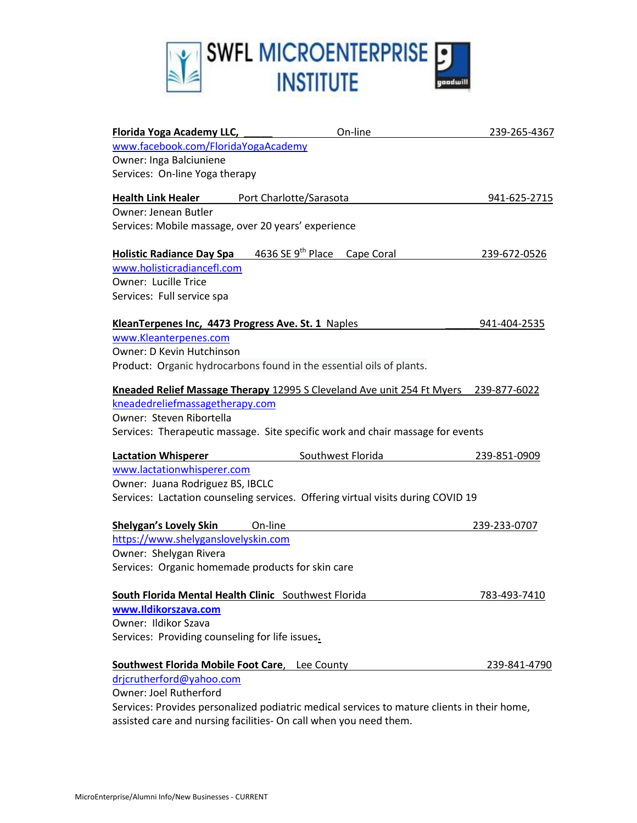

| Florida Yoga Academy LLC,                             | On-line                                                                                     | 239-265-4367 |
|-------------------------------------------------------|---------------------------------------------------------------------------------------------|--------------|
| www.facebook.com/FloridaYogaAcademy                   |                                                                                             |              |
| Owner: Inga Balciuniene                               |                                                                                             |              |
| Services: On-line Yoga therapy                        |                                                                                             |              |
| <b>Health Link Healer</b>                             | Port Charlotte/Sarasota                                                                     | 941-625-2715 |
| <b>Owner: Jenean Butler</b>                           |                                                                                             |              |
| Services: Mobile massage, over 20 years' experience   |                                                                                             |              |
| <b>Holistic Radiance Day Spa</b>                      | 4636 SE 9 <sup>th</sup> Place Cape Coral                                                    | 239-672-0526 |
| www.holisticradiancefl.com                            |                                                                                             |              |
| Owner: Lucille Trice                                  |                                                                                             |              |
| Services: Full service spa                            |                                                                                             |              |
| KleanTerpenes Inc, 4473 Progress Ave. St. 1 Naples    |                                                                                             | 941-404-2535 |
| www.Kleanterpenes.com                                 |                                                                                             |              |
| Owner: D Kevin Hutchinson                             |                                                                                             |              |
|                                                       | Product: Organic hydrocarbons found in the essential oils of plants.                        |              |
|                                                       | Kneaded Relief Massage Therapy 12995 S Cleveland Ave unit 254 Ft Myers 239-877-6022         |              |
| kneadedreliefmassagetherapy.com                       |                                                                                             |              |
| Owner: Steven Ribortella                              |                                                                                             |              |
|                                                       | Services: Therapeutic massage. Site specific work and chair massage for events              |              |
| <b>Lactation Whisperer</b>                            | Southwest Florida                                                                           | 239-851-0909 |
| www.lactationwhisperer.com                            |                                                                                             |              |
| Owner: Juana Rodriguez BS, IBCLC                      |                                                                                             |              |
|                                                       | Services: Lactation counseling services. Offering virtual visits during COVID 19            |              |
| <b>Shelygan's Lovely Skin</b>                         | On-line                                                                                     | 239-233-0707 |
| https://www.shelyganslovelyskin.com                   |                                                                                             |              |
| Owner: Shelygan Rivera                                |                                                                                             |              |
| Services: Organic homemade products for skin care     |                                                                                             |              |
| South Florida Mental Health Clinic Southwest Florida  |                                                                                             | 783-493-7410 |
| www.Ildikorszava.com                                  |                                                                                             |              |
| Owner: Ildikor Szava                                  |                                                                                             |              |
| Services: Providing counseling for life issues.       |                                                                                             |              |
| <b>Southwest Florida Mobile Foot Care, Lee County</b> |                                                                                             | 239-841-4790 |
| drjcrutherford@yahoo.com                              |                                                                                             |              |
| Owner: Joel Rutherford                                |                                                                                             |              |
|                                                       | Services: Provides personalized podiatric medical services to mature clients in their home, |              |
|                                                       | assisted care and nursing facilities- On call when you need them.                           |              |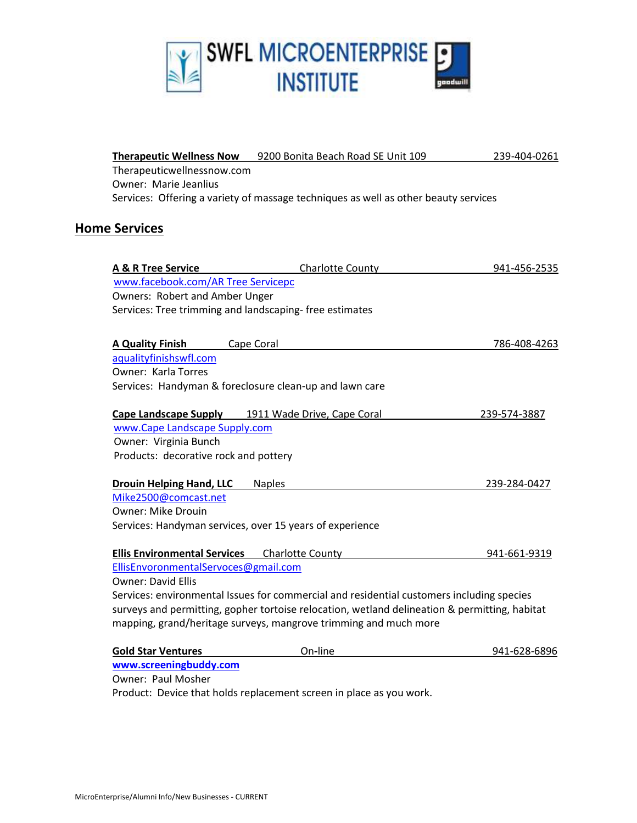

| <b>Therapeutic Wellness Now</b>                          | 9200 Bonita Beach Road SE Unit 109                                                            | 239-404-0261 |
|----------------------------------------------------------|-----------------------------------------------------------------------------------------------|--------------|
| Therapeuticwellnessnow.com                               |                                                                                               |              |
| Owner: Marie Jeanlius                                    |                                                                                               |              |
|                                                          | Services: Offering a variety of massage techniques as well as other beauty services           |              |
|                                                          |                                                                                               |              |
| <b>Home Services</b>                                     |                                                                                               |              |
|                                                          |                                                                                               |              |
| <b>A &amp; R Tree Service</b>                            | <b>Charlotte County</b>                                                                       | 941-456-2535 |
| www.facebook.com/AR Tree Servicepc                       |                                                                                               |              |
| Owners: Robert and Amber Unger                           |                                                                                               |              |
| Services: Tree trimming and landscaping-free estimates   |                                                                                               |              |
|                                                          |                                                                                               |              |
| <b>A Quality Finish</b><br>Cape Coral                    |                                                                                               | 786-408-4263 |
| aqualityfinishswfl.com                                   |                                                                                               |              |
| Owner: Karla Torres                                      |                                                                                               |              |
| Services: Handyman & foreclosure clean-up and lawn care  |                                                                                               |              |
| <b>Cape Landscape Supply</b>                             | 1911 Wade Drive, Cape Coral                                                                   | 239-574-3887 |
| www.Cape Landscape Supply.com                            |                                                                                               |              |
| Owner: Virginia Bunch                                    |                                                                                               |              |
| Products: decorative rock and pottery                    |                                                                                               |              |
| <b>Drouin Helping Hand, LLC</b>                          | <b>Naples</b>                                                                                 | 239-284-0427 |
| Mike2500@comcast.net                                     |                                                                                               |              |
| <b>Owner: Mike Drouin</b>                                |                                                                                               |              |
| Services: Handyman services, over 15 years of experience |                                                                                               |              |
|                                                          |                                                                                               |              |
| <b>Ellis Environmental Services</b>                      | <b>Charlotte County</b>                                                                       | 941-661-9319 |
| EllisEnvoronmentalServoces@gmail.com                     |                                                                                               |              |
| <b>Owner: David Ellis</b>                                |                                                                                               |              |
|                                                          | Services: environmental Issues for commercial and residential customers including species     |              |
|                                                          | surveys and permitting, gopher tortoise relocation, wetland delineation & permitting, habitat |              |
|                                                          | mapping, grand/heritage surveys, mangrove trimming and much more                              |              |
|                                                          |                                                                                               |              |
| <b>Gold Star Ventures</b><br>www.screeningbuddy.com      | On-line                                                                                       | 941-628-6896 |

Owner: Paul Mosher

Product: Device that holds replacement screen in place as you work.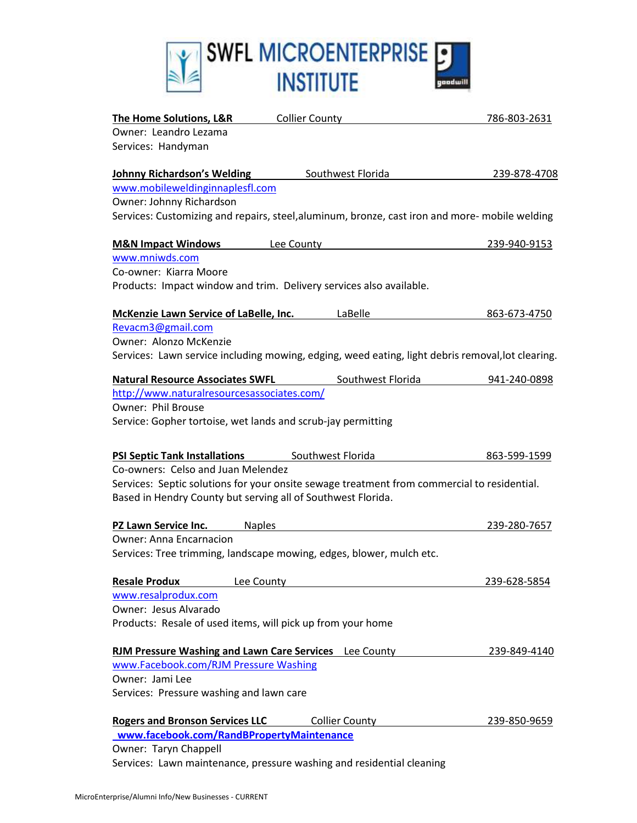

| <b>The Home Solutions, L&amp;R</b>         | <b>Collier County</b>                                                                             | 786-803-2631 |
|--------------------------------------------|---------------------------------------------------------------------------------------------------|--------------|
| Owner: Leandro Lezama                      |                                                                                                   |              |
| Services: Handyman                         |                                                                                                   |              |
| <b>Johnny Richardson's Welding</b>         | Southwest Florida                                                                                 | 239-878-4708 |
| www.mobileweldinginnaplesfl.com            |                                                                                                   |              |
| Owner: Johnny Richardson                   |                                                                                                   |              |
|                                            | Services: Customizing and repairs, steel, aluminum, bronze, cast iron and more- mobile welding    |              |
| <b>M&amp;N Impact Windows</b>              | Lee County                                                                                        | 239-940-9153 |
| www.mniwds.com                             |                                                                                                   |              |
| Co-owner: Kiarra Moore                     |                                                                                                   |              |
|                                            | Products: Impact window and trim. Delivery services also available.                               |              |
| McKenzie Lawn Service of LaBelle, Inc.     | LaBelle                                                                                           | 863-673-4750 |
| Revacm3@gmail.com                          |                                                                                                   |              |
| Owner: Alonzo McKenzie                     |                                                                                                   |              |
|                                            | Services: Lawn service including mowing, edging, weed eating, light debris removal, lot clearing. |              |
| <b>Natural Resource Associates SWFL</b>    | Southwest Florida                                                                                 | 941-240-0898 |
| http://www.naturalresourcesassociates.com/ |                                                                                                   |              |
| <b>Owner: Phil Brouse</b>                  |                                                                                                   |              |
|                                            | Service: Gopher tortoise, wet lands and scrub-jay permitting                                      |              |
| <b>PSI Septic Tank Installations</b>       | Southwest Florida                                                                                 | 863-599-1599 |
| Co-owners: Celso and Juan Melendez         |                                                                                                   |              |
|                                            | Services: Septic solutions for your onsite sewage treatment from commercial to residential.       |              |
|                                            | Based in Hendry County but serving all of Southwest Florida.                                      |              |
| PZ Lawn Service Inc.                       | <b>Naples</b>                                                                                     | 239-280-7657 |
| <b>Owner: Anna Encarnacion</b>             |                                                                                                   |              |
|                                            | Services: Tree trimming, landscape mowing, edges, blower, mulch etc.                              |              |
| <b>Resale Produx</b>                       | Lee County                                                                                        | 239-628-5854 |
| www.resalprodux.com                        |                                                                                                   |              |
| Owner: Jesus Alvarado                      |                                                                                                   |              |
|                                            | Products: Resale of used items, will pick up from your home                                       |              |
|                                            | <b>RJM Pressure Washing and Lawn Care Services</b> Lee County                                     | 239-849-4140 |
| www.Facebook.com/RJM Pressure Washing      |                                                                                                   |              |
| Owner: Jami Lee                            |                                                                                                   |              |
| Services: Pressure washing and lawn care   |                                                                                                   |              |
| <b>Rogers and Bronson Services LLC</b>     | <b>Collier County</b>                                                                             | 239-850-9659 |
| www.facebook.com/RandBPropertyMaintenance  |                                                                                                   |              |
| Owner: Taryn Chappell                      |                                                                                                   |              |

Services: Lawn maintenance, pressure washing and residential cleaning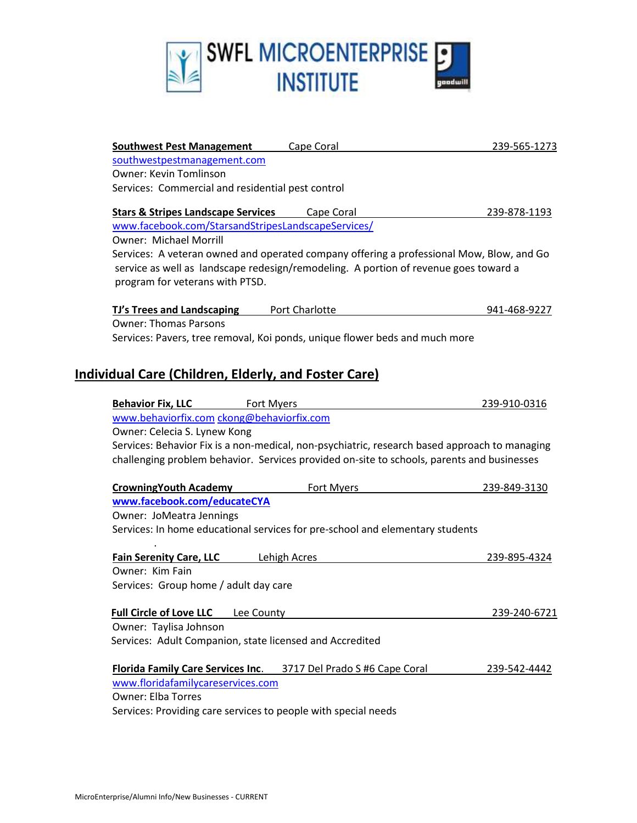

| <b>Southwest Pest Management</b>                               | Cape Coral                                                                                    | 239-565-1273 |
|----------------------------------------------------------------|-----------------------------------------------------------------------------------------------|--------------|
| southwestpestmanagement.com                                    |                                                                                               |              |
| <b>Owner: Kevin Tomlinson</b>                                  |                                                                                               |              |
| Services: Commercial and residential pest control              |                                                                                               |              |
| <b>Stars &amp; Stripes Landscape Services</b>                  | Cape Coral                                                                                    | 239-878-1193 |
| www.facebook.com/StarsandStripesLandscapeServices/             |                                                                                               |              |
| <b>Owner: Michael Morrill</b>                                  |                                                                                               |              |
|                                                                | Services: A veteran owned and operated company offering a professional Mow, Blow, and Go      |              |
| program for veterans with PTSD.                                | service as well as landscape redesign/remodeling. A portion of revenue goes toward a          |              |
| <b>TJ's Trees and Landscaping</b>                              | Port Charlotte                                                                                | 941-468-9227 |
| <b>Owner: Thomas Parsons</b>                                   |                                                                                               |              |
|                                                                | Services: Pavers, tree removal, Koi ponds, unique flower beds and much more                   |              |
|                                                                |                                                                                               |              |
| <b>Individual Care (Children, Elderly, and Foster Care)</b>    |                                                                                               |              |
| <b>Behavior Fix, LLC</b><br>Fort Myers                         |                                                                                               | 239-910-0316 |
| www.behaviorfix.com ckong@behaviorfix.com                      |                                                                                               |              |
| Owner: Celecia S. Lynew Kong                                   |                                                                                               |              |
|                                                                | Services: Behavior Fix is a non-medical, non-psychiatric, research based approach to managing |              |
|                                                                | challenging problem behavior. Services provided on-site to schools, parents and businesses    |              |
| <b>CrowningYouth Academy</b>                                   | Fort Myers                                                                                    | 239-849-3130 |
| www.facebook.com/educateCYA                                    |                                                                                               |              |
| Owner: JoMeatra Jennings                                       |                                                                                               |              |
|                                                                | Services: In home educational services for pre-school and elementary students                 |              |
| <b>Fain Serenity Care, LLC</b>                                 | <b>Lehigh Acres</b>                                                                           | 239-895-4324 |
| Owner: Kim Fain                                                |                                                                                               |              |
| Services: Group home / adult day care                          |                                                                                               |              |
| <b>Full Circle of Love LLC</b><br>Lee County                   |                                                                                               | 239-240-6721 |
| Owner: Taylisa Johnson                                         |                                                                                               |              |
| Services: Adult Companion, state licensed and Accredited       |                                                                                               |              |
| <b>Florida Family Care Services Inc.</b>                       | 3717 Del Prado S #6 Cape Coral                                                                | 239-542-4442 |
| www.floridafamilycareservices.com                              |                                                                                               |              |
| <b>Owner: Elba Torres</b>                                      |                                                                                               |              |
| Services: Providing care services to people with special needs |                                                                                               |              |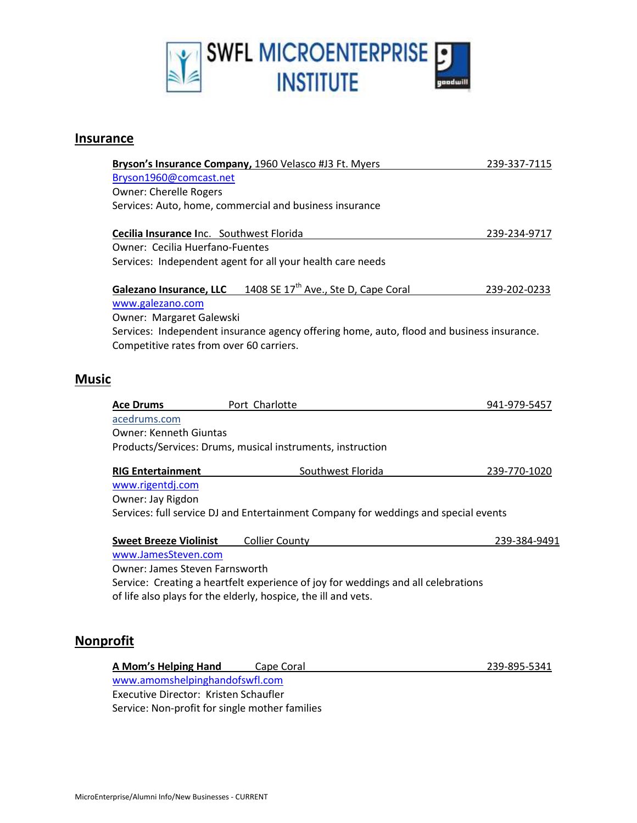

#### **Insurance**

|              |                                          | Bryson's Insurance Company, 1960 Velasco #J3 Ft. Myers                                    | 239-337-7115 |
|--------------|------------------------------------------|-------------------------------------------------------------------------------------------|--------------|
|              | Bryson1960@comcast.net                   |                                                                                           |              |
|              | <b>Owner: Cherelle Rogers</b>            |                                                                                           |              |
|              |                                          | Services: Auto, home, commercial and business insurance                                   |              |
|              | Cecilia Insurance Inc. Southwest Florida |                                                                                           | 239-234-9717 |
|              | <b>Owner: Cecilia Huerfano-Fuentes</b>   |                                                                                           |              |
|              |                                          | Services: Independent agent for all your health care needs                                |              |
|              | <b>Galezano Insurance, LLC</b>           | 1408 SE 17 <sup>th</sup> Ave., Ste D, Cape Coral                                          | 239-202-0233 |
|              | www.galezano.com                         |                                                                                           |              |
|              | Owner: Margaret Galewski                 |                                                                                           |              |
|              |                                          | Services: Independent insurance agency offering home, auto, flood and business insurance. |              |
|              | Competitive rates from over 60 carriers. |                                                                                           |              |
|              |                                          |                                                                                           |              |
| <b>Music</b> |                                          |                                                                                           |              |
|              |                                          |                                                                                           |              |
|              |                                          |                                                                                           |              |
|              | <b>Ace Drums</b>                         | Port Charlotte                                                                            | 941-979-5457 |
|              | acedrums.com                             |                                                                                           |              |
|              | <b>Owner: Kenneth Giuntas</b>            |                                                                                           |              |
|              |                                          | Products/Services: Drums, musical instruments, instruction                                |              |
|              | <b>RIG Entertainment</b>                 | Southwest Florida                                                                         | 239-770-1020 |
|              | www.rigentdj.com                         |                                                                                           |              |
|              | Owner: Jay Rigdon                        |                                                                                           |              |
|              |                                          | Services: full service DJ and Entertainment Company for weddings and special events       |              |
|              | <b>Sweet Breeze Violinist</b>            | <b>Collier County</b>                                                                     | 239-384-9491 |
|              | www.JamesSteven.com                      |                                                                                           |              |
|              | Owner: James Steven Farnsworth           |                                                                                           |              |
|              |                                          | Service: Creating a heartfelt experience of joy for weddings and all celebrations         |              |
|              |                                          | of life also plays for the elderly, hospice, the ill and vets.                            |              |
|              |                                          |                                                                                           |              |

#### **Nonprofit**

| A Mom's Helping Hand                           | Cape Coral | 239-895-5341 |
|------------------------------------------------|------------|--------------|
| www.amomshelpinghandofswfl.com                 |            |              |
| Executive Director: Kristen Schaufler          |            |              |
| Service: Non-profit for single mother families |            |              |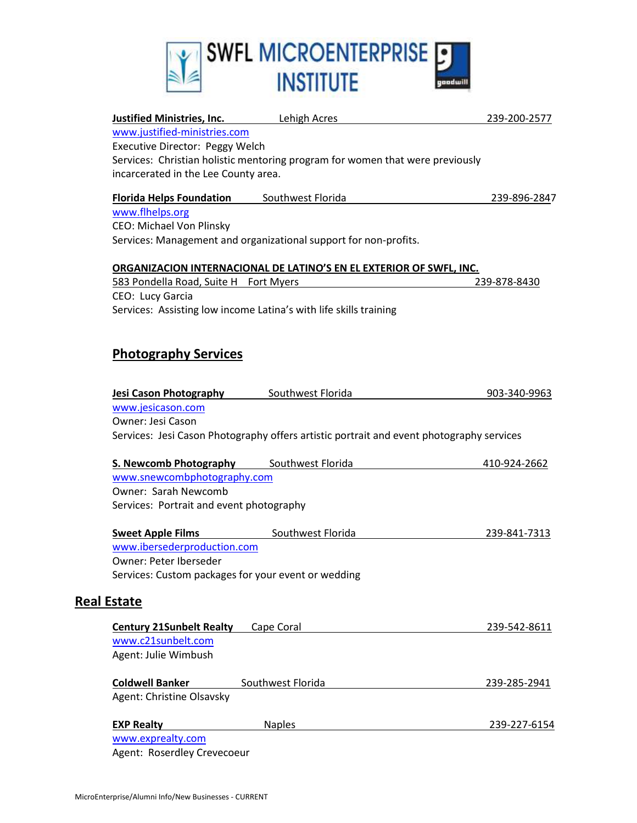

| <b>Justified Ministries, Inc.</b> Lehigh Acres  |                                                                                          | 239-200-2577 |
|-------------------------------------------------|------------------------------------------------------------------------------------------|--------------|
| www.justified-ministries.com                    |                                                                                          |              |
| Executive Director: Peggy Welch                 |                                                                                          |              |
|                                                 | Services: Christian holistic mentoring program for women that were previously            |              |
| incarcerated in the Lee County area.            |                                                                                          |              |
| <b>Florida Helps Foundation</b>                 | Southwest Florida                                                                        | 239-896-2847 |
| www.flhelps.org                                 |                                                                                          |              |
| <b>CEO: Michael Von Plinsky</b>                 |                                                                                          |              |
|                                                 | Services: Management and organizational support for non-profits.                         |              |
|                                                 | ORGANIZACION INTERNACIONAL DE LATINO'S EN EL EXTERIOR OF SWFL, INC.                      |              |
| 583 Pondella Road, Suite H Fort Myers           |                                                                                          | 239-878-8430 |
| CEO: Lucy Garcia                                |                                                                                          |              |
|                                                 | Services: Assisting low income Latina's with life skills training                        |              |
|                                                 |                                                                                          |              |
| <b>Photography Services</b>                     |                                                                                          |              |
|                                                 |                                                                                          |              |
|                                                 |                                                                                          |              |
| Jesi Cason Photography Southwest Florida        |                                                                                          | 903-340-9963 |
| www.jesicason.com                               |                                                                                          |              |
| Owner: Jesi Cason                               |                                                                                          |              |
|                                                 | Services: Jesi Cason Photography offers artistic portrait and event photography services |              |
| <b>S. Newcomb Photography</b> Southwest Florida |                                                                                          | 410-924-2662 |
| www.snewcombphotography.com                     |                                                                                          |              |
| <b>Owner: Sarah Newcomb</b>                     |                                                                                          |              |
| Services: Portrait and event photography        |                                                                                          |              |
| <b>Sweet Apple Films</b>                        | Southwest Florida                                                                        | 239-841-7313 |
| www.ibersederproduction.com                     |                                                                                          |              |
| Owner: Peter Iberseder                          |                                                                                          |              |
|                                                 | Services: Custom packages for your event or wedding                                      |              |
|                                                 |                                                                                          |              |
| Estate                                          |                                                                                          |              |
| <b>Century 21Sunbelt Realty</b>                 | Cape Coral                                                                               | 239-542-8611 |
| www.c21sunbelt.com                              |                                                                                          |              |
| Agent: Julie Wimbush                            |                                                                                          |              |
| <b>Coldwell Banker</b>                          | Southwest Florida                                                                        | 239-285-2941 |
| Agent: Christine Olsavsky                       |                                                                                          |              |
|                                                 |                                                                                          |              |
| <b>EXP Realty</b>                               | <b>Naples</b>                                                                            | 239-227-6154 |
| www.exprealty.com                               |                                                                                          |              |
| Agent: Roserdley Crevecoeur                     |                                                                                          |              |

**Real**